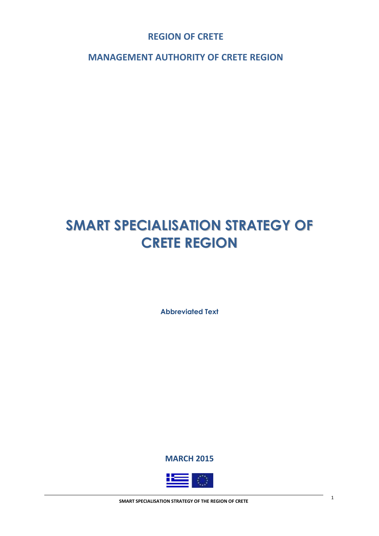**REGION OF CRETE**

**MANAGEMENT AUTHORITY OF CRETE REGION**

# **SMART SPECIALISATION STRATEGY OF CRETE REGION**

**Abbreviated Text**

**MARCH 2015**

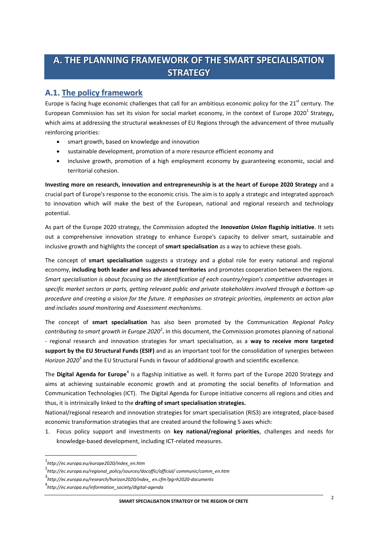# **A. THE PLANNING FRAMEWORK OF THE SMART SPECIALISATION STRATEGY**

## **Α.1. The policy framework**

Europe is facing huge economic challenges that call for an ambitious economic policy for the 21<sup>st</sup> century. The European Commission has set its vision for social market economy, in the context of Europe 2020<sup>1</sup> Strategy, which aims at addressing the structural weaknesses of EU Regions through the advancement of three mutually reinforcing priorities:

- smart growth, based on knowledge and innovation
- sustainable development, promotion of a more resource efficient economy and
- inclusive growth, promotion of a high employment economy by guaranteeing economic, social and territorial cohesion.

**Investing more on research, innovation and entrepreneurship is at the heart of Europe 2020 Strategy** and a crucial part of Europe's response to the economic crisis. The aim is to apply a strategic and integrated approach to innovation which will make the best of the European, national and regional research and technology potential.

As part of the Europe 2020 strategy, the Commission adopted the *Innovation Union* **flagship initiative**. It sets out a comprehensive innovation strategy to enhance Europe's capacity to deliver smart, sustainable and inclusive growth and highlights the concept of **smart specialisation** as a way to achieve these goals.

The concept of **smart specialisation** suggests a strategy and a global role for every national and regional economy, **including both leader and less advanced territories** and promotes cooperation between the regions. *Smart specialisation is about focusing on the identification of each country/region's competitive advantages in specific market sectors or parts, getting relevant public and private stakeholders involved through a bottom-up procedure and creating a vision for the future. It emphasises on strategic priorities, implements an action plan and includes sound monitoring and Assessment mechanisms.* 

The concept of **smart specialisation** has also been promoted by the Communication *Regional Policy*  contributing to smart growth in Europe 2020<sup>2</sup>. In this document, the Commission promotes planning of national - regional research and innovation strategies for smart specialisation, as a **way to receive more targeted support by the EU Structural Funds (ESIF)** and as an important tool for the consolidation of synergies between Horizon 2020<sup>3</sup> and the EU Structural Funds in favour of additional growth and scientific excellence.

The Digital Agenda for Europe<sup>4</sup> is a flagship initiative as well. It forms part of the Europe 2020 Strategy and aims at achieving sustainable economic growth and at promoting the social benefits of Information and Communication Technologies (ICT). The Digital Agenda for Europe initiative concerns all regions and cities and thus, it is intrinsically linked to the **drafting of smart specialisation strategies.** 

National/regional research and innovation strategies for smart specialisation (RIS3) are integrated, place-based economic transformation strategies that are created around the following 5 axes which:

1. Focus policy support and investments on **key national/regional priorities**, challenges and needs for knowledge-based development, including ICT-related measures.

 $\overline{\phantom{a}}$ 

<sup>1</sup> *http://ec.europa.eu/europe2020/index\_en.htm*

<sup>2</sup> *http://ec.europa.eu/regional\_policy/sources/docoffic/official/ communic/comm\_en.htm*

<sup>3</sup> *http://ec.europa.eu/research/horizon2020/index\_ en.cfm?pg=h2020-documents*

<sup>4</sup> *http://ec.europa.eu/information\_society/digital-agenda*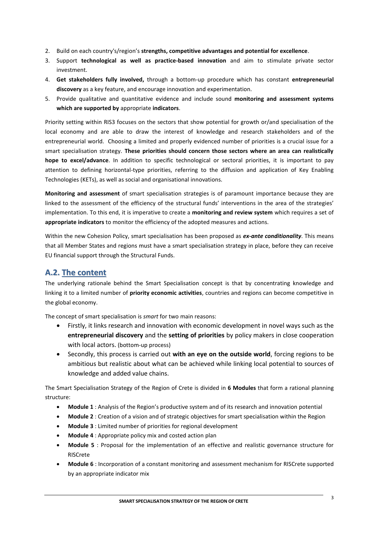- 2. Build on each country's/region's **strengths, competitive advantages and potential for excellence**.
- 3. Support **technological as well as practice-based innovation** and aim to stimulate private sector investment.
- 4. **Get stakeholders fully involved,** through a bottom-up procedure which has constant **entrepreneurial discovery** as a key feature, and encourage innovation and experimentation.
- 5. Provide qualitative and quantitative evidence and include sound **monitoring and assessment systems which are supported by** appropriate **indicators**.

Priority setting within RIS3 focuses on the sectors that show potential for growth or/and specialisation of the local economy and are able to draw the interest of knowledge and research stakeholders and of the entrepreneurial world. Choosing a limited and properly evidenced number of priorities is a crucial issue for a smart specialisation strategy. **These priorities should concern those sectors where an area can realistically hope to excel/advance**. In addition to specific technological or sectoral priorities, it is important to pay attention to defining horizontal-type priorities, referring to the diffusion and application of Key Enabling Technologies (KETs), as well as social and organisational innovations.

**Monitoring and assessment** of smart specialisation strategies is of paramount importance because they are linked to the assessment of the efficiency of the structural funds' interventions in the area of the strategies' implementation. To this end, it is imperative to create a **monitoring and review system** which requires a set of **appropriate indicators** to monitor the efficiency of the adopted measures and actions.

Within the new Cohesion Policy, smart specialisation has been proposed as *ex-ante conditionality*. This means that all Member States and regions must have a smart specialisation strategy in place, before they can receive EU financial support through the Structural Funds.

## **Α.2. The content**

The underlying rationale behind the Smart Specialisation concept is that by concentrating knowledge and linking it to a limited number of **priority economic activities**, countries and regions can become competitive in the global economy.

The concept of smart specialisation is *smart* for two main reasons:

- Firstly, it links research and innovation with economic development in novel ways such as the **entrepreneurial discovery** and the **setting of priorities** by policy makers in close cooperation with local actors. (bottom-up process)
- Secondly, this process is carried out **with an eye on the outside world**, forcing regions to be ambitious but realistic about what can be achieved while linking local potential to sources of knowledge and added value chains.

The Smart Specialisation Strategy of the Region of Crete is divided in **6 Modules** that form a rational planning structure:

- **Module 1** : Analysis of the Region's productive system and of its research and innovation potential
- **Module 2** : Creation of a vision and of strategic objectives for smart specialisation within the Region
- **Module 3** : Limited number of priorities for regional development
- **Module 4** : Appropriate policy mix and costed action plan
- **Module 5** : Proposal for the implementation of an effective and realistic governance structure for RISCrete
- **Module 6** : Incorporation of a constant monitoring and assessment mechanism for RISCrete supported by an appropriate indicator mix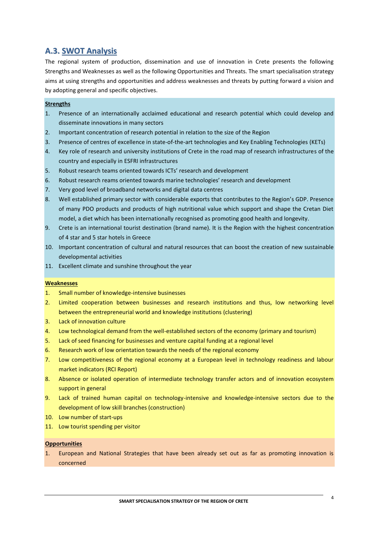## **Α.3. SWOT Analysis**

The regional system of production, dissemination and use of innovation in Crete presents the following Strengths and Weaknesses as well as the following Opportunities and Threats. The smart specialisation strategy aims at using strengths and opportunities and address weaknesses and threats by putting forward a vision and by adopting general and specific objectives.

#### **Strengths**

- 1. Presence of an internationally acclaimed educational and research potential which could develop and disseminate innovations in many sectors
- 2. Important concentration of research potential in relation to the size of the Region
- 3. Presence of centres of excellence in state-of-the-art technologies and Key Enabling Technologies (KETs)
- 4. Key role of research and university institutions of Crete in the road map of research infrastructures of the country and especially in ΕSFRI infrastructures
- 5. Robust research teams oriented towards ICTs' research and development
- 6. Robust research reams oriented towards marine technologies' research and development
- 7. Very good level of broadband networks and digital data centres
- 8. Well established primary sector with considerable exports that contributes to the Region's GDP. Presence of many PDO products and products of high nutritional value which support and shape the Cretan Diet model, a diet which has been internationally recognised as promoting good health and longevity.
- 9. Crete is an international tourist destination (brand name). It is the Region with the highest concentration of 4 star and 5 star hotels in Greece
- 10. Important concentration of cultural and natural resources that can boost the creation of new sustainable developmental activities
- 11. Excellent climate and sunshine throughout the year

#### **Weaknesses**

- 1. Small number of knowledge-intensive businesses
- 2. Limited cooperation between businesses and research institutions and thus, low networking level between the entrepreneurial world and knowledge institutions (clustering)
- 3. Lack of innovation culture
- 4. Low technological demand from the well-established sectors of the economy (primary and tourism)
- 5. Lack of seed financing for businesses and venture capital funding at a regional level
- 6. Research work of low orientation towards the needs of the regional economy
- 7. Low competitiveness of the regional economy at a European level in technology readiness and labour market indicators (RCI Report)
- 8. Absence or isolated operation of intermediate technology transfer actors and of innovation ecosystem support in general
- 9. Lack of trained human capital on technology-intensive and knowledge-intensive sectors due to the development of low skill branches (construction)
- 10. Low number of start-ups
- 11. Low tourist spending per visitor

#### **Opportunities**

1. European and National Strategies that have been already set out as far as promoting innovation is concerned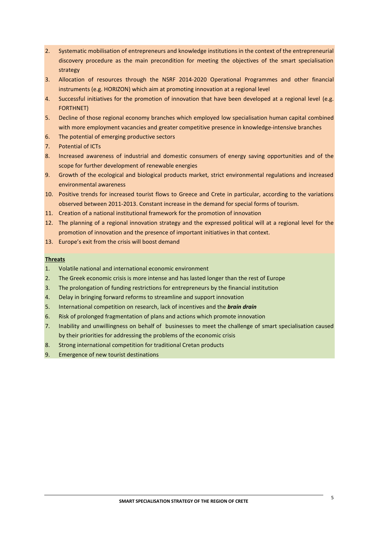- 2. Systematic mobilisation of entrepreneurs and knowledge institutions in the context of the entrepreneurial discovery procedure as the main precondition for meeting the objectives of the smart specialisation strategy
- 3. Allocation of resources through the NSRF 2014-2020 Operational Programmes and other financial instruments (e.g. HORIZON) which aim at promoting innovation at a regional level
- 4. Successful initiatives for the promotion of innovation that have been developed at a regional level (e.g. FORTHNET)
- 5. Decline of those regional economy branches which employed low specialisation human capital combined with more employment vacancies and greater competitive presence in knowledge-intensive branches
- 6. The potential of emerging productive sectors
- 7. Potential of ICTs
- 8. Increased awareness of industrial and domestic consumers of energy saving opportunities and of the scope for further development of renewable energies
- 9. Growth of the ecological and biological products market, strict environmental regulations and increased environmental awareness
- 10. Positive trends for increased tourist flows to Greece and Crete in particular, according to the variations observed between 2011‐2013. Constant increase in the demand for special forms of tourism.
- 11. Creation of a national institutional framework for the promotion of innovation
- 12. The planning of a regional innovation strategy and the expressed political will at a regional level for the promotion of innovation and the presence of important initiatives in that context.
- 13. Europe's exit from the crisis will boost demand

#### **Threats**

- 1. Volatile national and international economic environment
- 2. The Greek economic crisis is more intense and has lasted longer than the rest of Europe
- 3. The prolongation of funding restrictions for entrepreneurs by the financial institution
- 4. Delay in bringing forward reforms to streamline and support innovation
- 5. International competition on research, lack of incentives and the *brain drain*
- 6. Risk of prolonged fragmentation of plans and actions which promote innovation
- 7. Inability and unwillingness on behalf of businesses to meet the challenge of smart specialisation caused by their priorities for addressing the problems of the economic crisis
- 8. Strong international competition for traditional Cretan products
- 9. Emergence of new tourist destinations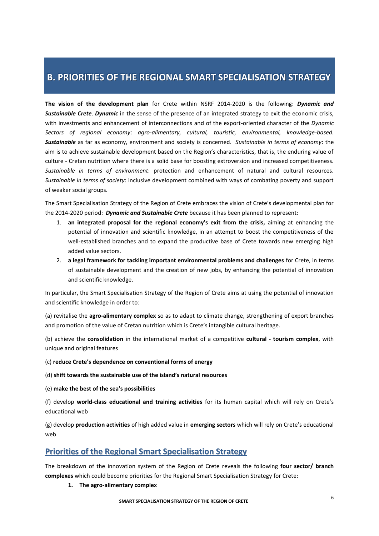## **B. PRIORITIES OF THE REGIONAL SMART SPECIALISATION STRATEGY**

**The vision of the development plan** for Crete within NSRF 2014-2020 is the following: *Dynamic and Sustainable Crete*. *Dynamic* in the sense of the presence of an integrated strategy to exit the economic crisis, with investments and enhancement of interconnections and of the export-oriented character of the *Dynamic Sectors of regional economy*: *agro-alimentary, cultural, touristic, environmental, knowledge-based. Sustainable* as far as economy, environment and society is concerned. *Sustainable in terms of economy*: the aim is to achieve sustainable development based on the Region's characteristics, that is, the enduring value of culture - Cretan nutrition where there is a solid base for boosting extroversion and increased competitiveness. *Sustainable in terms of environment*: protection and enhancement of natural and cultural resources. *Sustainable in terms of society*: inclusive development combined with ways of combating poverty and support of weaker social groups.

The Smart Specialisation Strategy of the Region of Crete embraces the vision of Crete's developmental plan for the 2014-2020 period: *Dynamic and Sustainable Crete* because it has been planned to represent:

- 1. **an integrated proposal for the regional economy's exit from the crisis,** aiming at enhancing the potential of innovation and scientific knowledge, in an attempt to boost the competitiveness of the well-established branches and to expand the productive base of Crete towards new emerging high added value sectors.
- 2. **a legal framework for tackling important environmental problems and challenges** for Crete, in terms of sustainable development and the creation of new jobs, by enhancing the potential of innovation and scientific knowledge.

In particular, the Smart Specialisation Strategy of the Region of Crete aims at using the potential of innovation and scientific knowledge in order to:

(a) revitalise the **agro-alimentary complex** so as to adapt to climate change, strengthening of export branches and promotion of the value of Cretan nutrition which is Crete's intangible cultural heritage.

(b) achieve the **consolidation** in the international market of a competitive **cultural - tourism complex**, with unique and original features

- (c) **reduce Crete's dependence on conventional forms of energy**
- (d) **shift towards the sustainable use of the island's natural resources**
- (e) **make the best of the sea's possibilities**

(f) develop **world-class educational and training activities** for its human capital which will rely on Crete's educational web

(g) develop **production activities** of high added value in **emerging sectors** which will rely on Crete's educational web

## **Priorities of the Regional Smart Specialisation Strategy**

The breakdown of the innovation system of the Region of Crete reveals the following **four sector/ branch complexes** which could become priorities for the Regional Smart Specialisation Strategy for Crete:

### **1. The agro-alimentary complex**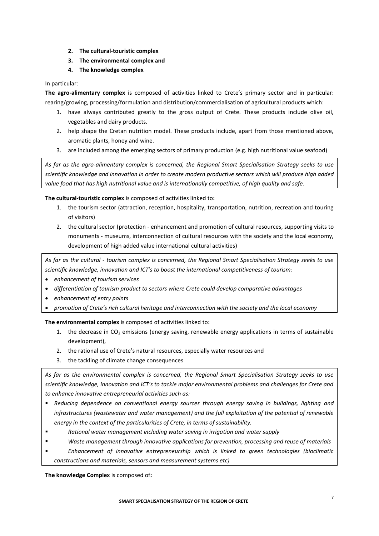- **2. The cultural-touristic complex**
- **3. The environmental complex and**
- **4. The knowledge complex**

#### In particular:

**The agro-alimentary complex** is composed of activities linked to Crete's primary sector and in particular: rearing/growing, processing/formulation and distribution/commercialisation of agricultural products which:

- 1. have always contributed greatly to the gross output of Crete. These products include olive oil, vegetables and dairy products.
- 2. help shape the Cretan nutrition model. These products include, apart from those mentioned above, aromatic plants, honey and wine.
- 3. are included among the emerging sectors of primary production (e.g. high nutritional value seafood)

*As far as the agro-alimentary complex is concerned, the Regional Smart Specialisation Strategy seeks to use scientific knowledge and innovation in order to create modern productive sectors which will produce high added value food that has high nutritional value and is internationally competitive, of high quality and safe.*

**The cultural-touristic complex** is composed of activities linked to**:** 

- 1. the tourism sector (attraction, reception, hospitality, transportation, nutrition, recreation and touring of visitors)
- 2. the cultural sector (protection enhancement and promotion of cultural resources, supporting visits to monuments - museums, interconnection of cultural resources with the society and the local economy, development of high added value international cultural activities)

*As far as the cultural - tourism complex is concerned, the Regional Smart Specialisation Strategy seeks to use scientific knowledge, innovation and ICT's to boost the international competitiveness of tourism:* 

- *enhancement of tourism services*
- *differentiation of tourism product to sectors where Crete could develop comparative advantages*
- *enhancement of entry points*
- *promotion of Crete's rich cultural heritage and interconnection with the society and the local economy*

**The environmental complex** is composed of activities linked to**:** 

- 1. the decrease in  $CO<sub>2</sub>$  emissions (energy saving, renewable energy applications in terms of sustainable development),
- 2. the rational use of Crete's natural resources, especially water resources and
- 3. the tackling of climate change consequences

*As far as the environmental complex is concerned, the Regional Smart Specialisation Strategy seeks to use scientific knowledge, innovation and ICT's to tackle major environmental problems and challenges for Crete and to enhance innovative entrepreneurial activities such as:* 

- *Reducing dependence on conventional energy sources through energy saving in buildings, lighting and infrastructures (wastewater and water management) and the full exploitation of the potential of renewable energy in the context of the particularities of Crete, in terms of sustainability.*
- *Rational water management including water saving in irrigation and water supply*
- *Waste management through innovative applications for prevention, processing and reuse of materials*
- *Enhancement of innovative entrepreneurship which is linked to green technologies (bioclimatic constructions and materials, sensors and measurement systems etc)*

**The knowledge Complex** is composed of**:**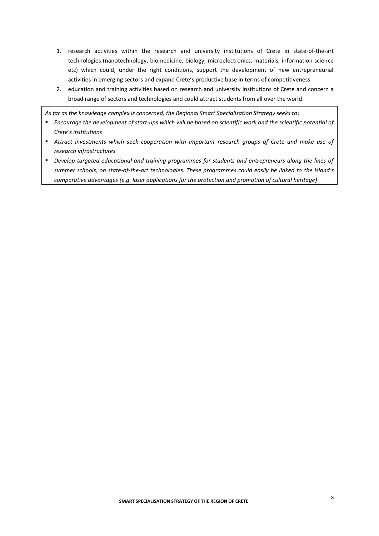- 1. research activities within the research and university institutions of Crete in state-of-the-art technologies (nanotechnology, biomedicine, biology, microelectronics, materials, information science etc) which could, under the right conditions, support the development of new entrepreneurial activities in emerging sectors and expand Crete's productive base in terms of competitiveness
- 2. education and training activities based on research and university institutions of Crete and concern a broad range of sectors and technologies and could attract students from all over the world.

*As far as the knowledge complex is concerned, the Regional Smart Specialisation Strategy seeks to:*

- *Encourage the development of start-ups which will be based on scientific work and the scientific potential of Crete's institutions*
- *Attract investments which seek cooperation with important research groups of Crete and make use of research infrastructures*
- *Develop targeted educational and training programmes for students and entrepreneurs along the lines of summer schools, on state-of-the-art technologies. These programmes could easily be linked to the island's comparative advantages (e.g. laser applications for the protection and promotion of cultural heritage)*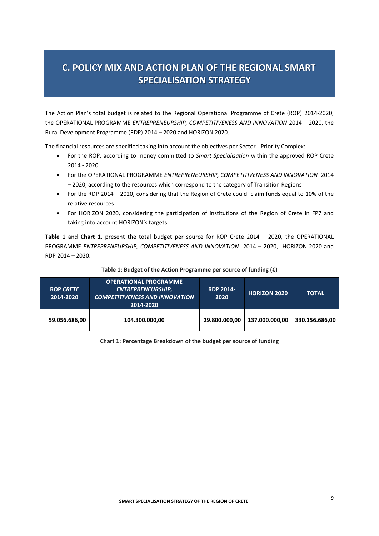# **C. POLICY MIX AND ACTION PLAN OF THE REGIONAL SMART SPECIALISATION STRATEGY**

The Action Plan's total budget is related to the Regional Operational Programme of Crete (ROP) 2014-2020, the OPERATIONAL PROGRAMME *ENTREPRENEURSHIP, COMPETITIVENESS AND INNOVATION* 2014 – 2020, the Rural Development Programme (RDP) 2014 – 2020 and HORIZON 2020.

The financial resources are specified taking into account the objectives per Sector - Priority Complex:

- For the ROP, according to money committed to *Smart Specialisation* within the approved ROP Crete 2014 - 2020
- For the OPERATIONAL PROGRAMME *ENTREPRENEURSHIP, COMPETITIVENESS AND INNOVATION* 2014 – 2020, according to the resources which correspond to the category of Transition Regions
- For the RDP 2014 2020, considering that the Region of Crete could claim funds equal to 10% of the relative resources
- For HORIZON 2020, considering the participation of institutions of the Region of Crete in FP7 and taking into account HORIZON's targets

**Table 1** and **Chart 1**, present the total budget per source for ROP Crete 2014 – 2020, the OPERATIONAL PROGRAMME *ENTREPRENEURSHIP, COMPETITIVENESS AND INNOVATION* 2014 – 2020, HORIZON 2020 and RDP 2014 – 2020.

| <b>ROP CRETE</b><br>2014-2020 | <b>OPERATIONAL PROGRAMME</b><br><b>ENTREPRENEURSHIP,</b><br><b>COMPETITIVENESS AND INNOVATION</b><br>2014-2020 | <b>RDP 2014-</b><br>2020 | <b>HORIZON 2020</b> | <b>TOTAL</b>   |
|-------------------------------|----------------------------------------------------------------------------------------------------------------|--------------------------|---------------------|----------------|
| 59.056.686,00                 | 104.300.000,00                                                                                                 | 29.800.000,00            | 137.000.000.00      | 330.156.686,00 |

#### **Table 1: Budget of the Action Programme per source of funding (€)**

**Chart 1: Percentage Breakdown of the budget per source of funding**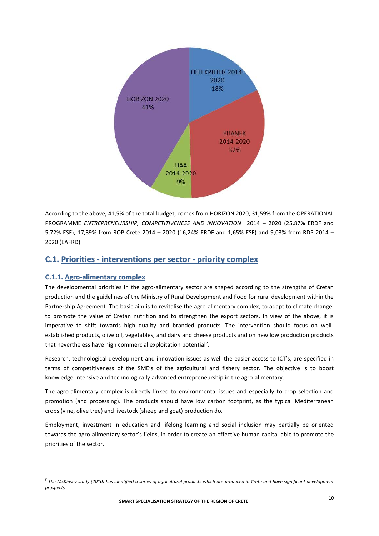

According to the above, 41,5% of the total budget, comes from HORIZON 2020, 31,59% from the OPERATIONAL PROGRAMME *ENTREPRENEURSHIP, COMPETITIVENESS AND INNOVATION* 2014 – 2020 (25,87% ERDF and 5,72% ESF), 17,89% from ROP Crete 2014 – 2020 (16,24% ERDF and 1,65% ESF) and 9,03% from RDP 2014 – 2020 (EAFRD).

## **C.1. Priorities - interventions per sector - priority complex**

## **C.1.1. Agro-alimentary complex**

 $\overline{a}$ 

The developmental priorities in the agro-alimentary sector are shaped according to the strengths of Cretan production and the guidelines of the Ministry of Rural Development and Food for rural development within the Partnership Agreement. The basic aim is to revitalise the agro-alimentary complex, to adapt to climate change, to promote the value of Cretan nutrition and to strengthen the export sectors. In view of the above, it is imperative to shift towards high quality and branded products. The intervention should focus on wellestablished products, olive oil, vegetables, and dairy and cheese products and on new low production products that nevertheless have high commercial exploitation potential<sup>5</sup>.

Research, technological development and innovation issues as well the easier access to ICT's, are specified in terms of competitiveness of the SME's of the agricultural and fishery sector. The objective is to boost knowledge-intensive and technologically advanced entrepreneurship in the agro-alimentary.

The agro-alimentary complex is directly linked to environmental issues and especially to crop selection and promotion (and processing). The products should have low carbon footprint, as the typical Mediterranean crops (vine, olive tree) and livestock (sheep and goat) production do.

Employment, investment in education and lifelong learning and social inclusion may partially be oriented towards the agro-alimentary sector's fields, in order to create an effective human capital able to promote the priorities of the sector.

*<sup>5</sup> The McKinsey study (2010) has identified a series of agricultural products which are produced in Crete and have significant development prospects*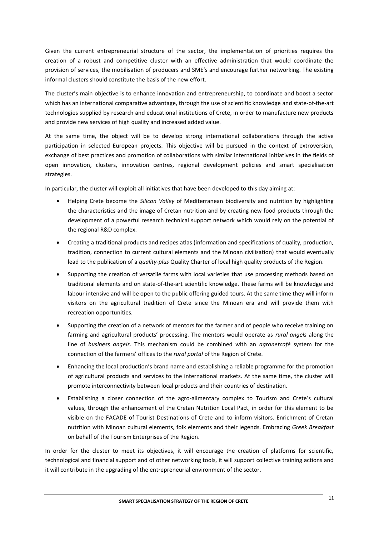Given the current entrepreneurial structure of the sector, the implementation of priorities requires the creation of a robust and competitive cluster with an effective administration that would coordinate the provision of services, the mobilisation of producers and SME's and encourage further networking. The existing informal clusters should constitute the basis of the new effort.

The cluster's main objective is to enhance innovation and entrepreneurship, to coordinate and boost a sector which has an international comparative advantage, through the use of scientific knowledge and state-of-the-art technologies supplied by research and educational institutions of Crete, in order to manufacture new products and provide new services of high quality and increased added value.

At the same time, the object will be to develop strong international collaborations through the active participation in selected European projects. This objective will be pursued in the context of extroversion, exchange of best practices and promotion of collaborations with similar international initiatives in the fields of open innovation, clusters, innovation centres, regional development policies and smart specialisation strategies.

In particular, the cluster will exploit all initiatives that have been developed to this day aiming at:

- Helping Crete become the *Silicon Valley* of Mediterranean biodiversity and nutrition by highlighting the characteristics and the image of Cretan nutrition and by creating new food products through the development of a powerful research technical support network which would rely on the potential of the regional R&D complex.
- Creating a traditional products and recipes atlas (information and specifications of quality, production, tradition, connection to current cultural elements and the Minoan civilisation) that would eventually lead to the publication of a *quality-plus* Quality Charter of local high quality products of the Region.
- Supporting the creation of versatile farms with local varieties that use processing methods based on traditional elements and on state-of-the-art scientific knowledge. These farms will be knowledge and labour intensive and will be open to the public offering guided tours. At the same time they will inform visitors on the agricultural tradition of Crete since the Minoan era and will provide them with recreation opportunities.
- Supporting the creation of a network of mentors for the farmer and of people who receive training on farming and agricultural products' processing. The mentors would operate as *rural angels* along the line of *business angels*. This mechanism could be combined with an *agronetcafé* system for the connection of the farmers' offices to the *rural portal* of the Region of Crete.
- Enhancing the local production's brand name and establishing a reliable programme for the promotion of agricultural products and services to the international markets. At the same time, the cluster will promote interconnectivity between local products and their countries of destination.
- Establishing a closer connection of the agro-alimentary complex to Tourism and Crete's cultural values, through the enhancement of the Cretan Nutrition Local Pact, in order for this element to be visible on the FACADE of Tourist Destinations of Crete and to inform visitors. Enrichment of Cretan nutrition with Minoan cultural elements, folk elements and their legends. Embracing *Greek Breakfast* on behalf of the Tourism Enterprises of the Region.

In order for the cluster to meet its objectives, it will encourage the creation of platforms for scientific, technological and financial support and of other networking tools, it will support collective training actions and it will contribute in the upgrading of the entrepreneurial environment of the sector.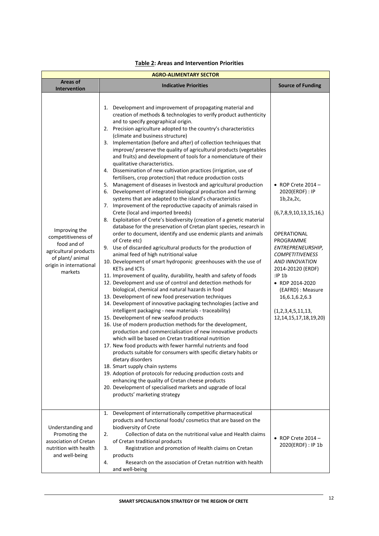| <b>AGRO-ALIMENTARY SECTOR</b>                                                                                                         |                                                                                                                                                                                                                                                                                                                                                                                                                                                                                                                                                                                                                                                                                                                                                                                                                                                                                                                                                                                                                                                                                                                                                                                                                                                                                                                                                                                                                                                                                                                                                                                                                                                                                                                                                                                                                                                                                                                                                                                                                                                                                                                                                                                                                                                                                                                                                                                                                                                     |                                                                                                                                                                                                                                                                                                                                       |  |  |  |
|---------------------------------------------------------------------------------------------------------------------------------------|-----------------------------------------------------------------------------------------------------------------------------------------------------------------------------------------------------------------------------------------------------------------------------------------------------------------------------------------------------------------------------------------------------------------------------------------------------------------------------------------------------------------------------------------------------------------------------------------------------------------------------------------------------------------------------------------------------------------------------------------------------------------------------------------------------------------------------------------------------------------------------------------------------------------------------------------------------------------------------------------------------------------------------------------------------------------------------------------------------------------------------------------------------------------------------------------------------------------------------------------------------------------------------------------------------------------------------------------------------------------------------------------------------------------------------------------------------------------------------------------------------------------------------------------------------------------------------------------------------------------------------------------------------------------------------------------------------------------------------------------------------------------------------------------------------------------------------------------------------------------------------------------------------------------------------------------------------------------------------------------------------------------------------------------------------------------------------------------------------------------------------------------------------------------------------------------------------------------------------------------------------------------------------------------------------------------------------------------------------------------------------------------------------------------------------------------------------|---------------------------------------------------------------------------------------------------------------------------------------------------------------------------------------------------------------------------------------------------------------------------------------------------------------------------------------|--|--|--|
| Areas of<br><b>Intervention</b>                                                                                                       | <b>Indicative Priorities</b>                                                                                                                                                                                                                                                                                                                                                                                                                                                                                                                                                                                                                                                                                                                                                                                                                                                                                                                                                                                                                                                                                                                                                                                                                                                                                                                                                                                                                                                                                                                                                                                                                                                                                                                                                                                                                                                                                                                                                                                                                                                                                                                                                                                                                                                                                                                                                                                                                        | <b>Source of Funding</b>                                                                                                                                                                                                                                                                                                              |  |  |  |
| Improving the<br>competitiveness of<br>food and of<br>agricultural products<br>of plant/ animal<br>origin in international<br>markets | 1. Development and improvement of propagating material and<br>creation of methods & technologies to verify product authenticity<br>and to specify geographical origin.<br>2. Precision agriculture adopted to the country's characteristics<br>(climate and business structure)<br>3. Implementation (before and after) of collection techniques that<br>improve/ preserve the quality of agricultural products (vegetables<br>and fruits) and development of tools for a nomenclature of their<br>qualitative characteristics.<br>4. Dissemination of new cultivation practices (irrigation, use of<br>fertilisers, crop protection) that reduce production costs<br>5. Management of diseases in livestock and agricultural production<br>6. Development of integrated biological production and farming<br>systems that are adapted to the island's characteristics<br>7. Improvement of the reproductive capacity of animals raised in<br>Crete (local and imported breeds)<br>8. Exploitation of Crete's biodiversity (creation of a genetic material<br>database for the preservation of Cretan plant species, research in<br>order to document, identify and use endemic plants and animals<br>of Crete etc)<br>Use of discarded agricultural products for the production of<br>9.<br>animal feed of high nutritional value<br>10. Development of smart hydroponic greenhouses with the use of<br><b>KETs and ICTs</b><br>11. Improvement of quality, durability, health and safety of foods<br>12. Development and use of control and detection methods for<br>biological, chemical and natural hazards in food<br>13. Development of new food preservation techniques<br>14. Development of innovative packaging technologies (active and<br>intelligent packaging - new materials - traceability)<br>15. Development of new seafood products<br>16. Use of modern production methods for the development,<br>production and commercialisation of new innovative products<br>which will be based on Cretan traditional nutrition<br>17. New food products with fewer harmful nutrients and food<br>products suitable for consumers with specific dietary habits or<br>dietary disorders<br>18. Smart supply chain systems<br>19. Adoption of protocols for reducing production costs and<br>enhancing the quality of Cretan cheese products<br>20. Development of specialised markets and upgrade of local<br>products' marketing strategy | $\bullet$ ROP Crete 2014 -<br>2020(ERDF) : IP<br>1b, 2a, 2c,<br>(6,7,8,9,10,13,15,16)<br>OPERATIONAL<br>PROGRAMME<br>ENTREPRENEURSHIP,<br><b>COMPETITIVENESS</b><br><b>AND INNOVATION</b><br>2014-20120 (ERDF)<br>:IP1b<br>• RDP 2014-2020<br>(EAFRD) : Measure<br>16,6.1,6.2,6.3<br>(1,2,3,4,5,11,13,<br>12, 14, 15, 17, 18, 19, 20) |  |  |  |
| Understanding and<br>Promoting the<br>association of Cretan<br>nutrition with health<br>and well-being                                | Development of internationally competitive pharmaceutical<br>1.<br>products and functional foods/ cosmetics that are based on the<br>biodiversity of Crete<br>Collection of data on the nutritional value and Health claims<br>2.<br>of Cretan traditional products<br>3.<br>Registration and promotion of Health claims on Cretan<br>products<br>Research on the association of Cretan nutrition with health<br>4.<br>and well-being                                                                                                                                                                                                                                                                                                                                                                                                                                                                                                                                                                                                                                                                                                                                                                                                                                                                                                                                                                                                                                                                                                                                                                                                                                                                                                                                                                                                                                                                                                                                                                                                                                                                                                                                                                                                                                                                                                                                                                                                               | $\bullet$ ROP Crete 2014 -<br>2020(ERDF) : IP 1b                                                                                                                                                                                                                                                                                      |  |  |  |

#### **Table 2: Areas and Intervention Priorities**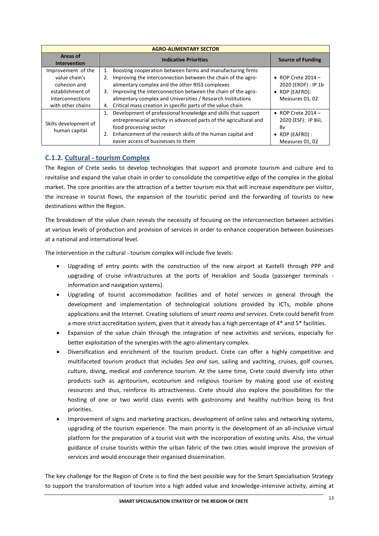| <b>AGRO-ALIMENTARY SECTOR</b>                                                                                    |                                                                                                                                                                                                                                                                                                                                                                                                     |                                                                                                   |  |  |  |
|------------------------------------------------------------------------------------------------------------------|-----------------------------------------------------------------------------------------------------------------------------------------------------------------------------------------------------------------------------------------------------------------------------------------------------------------------------------------------------------------------------------------------------|---------------------------------------------------------------------------------------------------|--|--|--|
| Areas of<br><b>Intervention</b>                                                                                  | <b>Indicative Priorities</b>                                                                                                                                                                                                                                                                                                                                                                        | <b>Source of Funding</b>                                                                          |  |  |  |
| Improvement of the<br>value chain's<br>cohesion and<br>establishment of<br>interconnections<br>with other chains | Boosting cooperation between farms and manufacturing firms<br>1.<br>Improving the interconnection between the chain of the agro-<br>2.<br>alimentary complex and the other RIS3 complexes<br>Improving the interconnection between the chain of the agro-<br>3.<br>alimentary complex and Universities / Research Institutions<br>Critical mass creation in specific parts of the value chain<br>4. | $\bullet$ ROP Crete 2014 -<br>2020 (ERDF) : IP 1b<br>RDP (EAFRD):<br>$\bullet$<br>Measures 01, 02 |  |  |  |
| Skills development of<br>human capital                                                                           | Development of professional knowledge and skills that support<br>1.<br>entrepreneurial activity in advanced parts of the agricultural and<br>food processing sector<br>Enhancement of the research skills of the human capital and<br>2.<br>easier access of businesses to them                                                                                                                     | $\bullet$ ROP Crete 2014 -<br>2020 (ESF): IP 8iii,<br>8v<br>RDP (EAFRD) :<br>٠<br>Measures 01, 02 |  |  |  |

## **C.1.2. Cultural - tourism Complex**

The Region of Crete seeks to develop technologies that support and promote tourism and culture and to revitalise and expand the value chain in order to consolidate the competitive edge of the complex in the global market. The core priorities are the attraction of a better tourism mix that will increase expenditure per visitor, the increase in tourist flows, the expansion of the touristic period and the forwarding of tourists to new destinations within the Region.

The breakdown of the value chain reveals the necessity of focusing on the interconnection between activities at various levels of production and provision of services in order to enhance cooperation between businesses at a national and international level.

The intervention in the cultural - tourism complex will include five levels:

- Upgrading of entry points with the construction of the new airport at Kastelli through PPP and upgrading of cruise infrastructures at the ports of Heraklion and Souda (passenger terminals information and navigation systems).
- Upgrading of tourist accommodation facilities and of hotel services in general through the development and implementation of technological solutions provided by ICTs, mobile phone applications and the Internet. Creating solutions of *smart rooms and services*. Crete could benefit from a more strict accreditation system, given that it already has a high percentage of 4\* and 5\* facilities.
- Expansion of the value chain through the integration of new activities and services, especially for better exploitation of the synergies with the agro-alimentary complex.
- Diversification and enrichment of the tourism product. Crete can offer a highly competitive and multifaceted tourism product that includes *Sea and sun,* sailing and yachting, cruises, golf courses, culture, diving, medical and conference tourism. At the same time, Crete could diversify into other products such as agritourism, ecotourism and religious tourism by making good use of existing resources and thus, reinforce its attractiveness. Crete should also explore the possibilities for the hosting of one or two world class events with gastronomy and healthy nutrition being its first priorities.
- Improvement of signs and marketing practices, development of online sales and networking systems, upgrading of the tourism experience. The main priority is the development of an all-inclusive virtual platform for the preparation of a tourist visit with the incorporation of existing units. Also, the virtual guidance of cruise tourists within the urban fabric of the two cities would improve the provision of services and would encourage their organised dissemination.

The key challenge for the Region of Crete is to find the best possible way for the Smart Specialisation Strategy to support the transformation of tourism into a high added value and knowledge-intensive activity, aiming at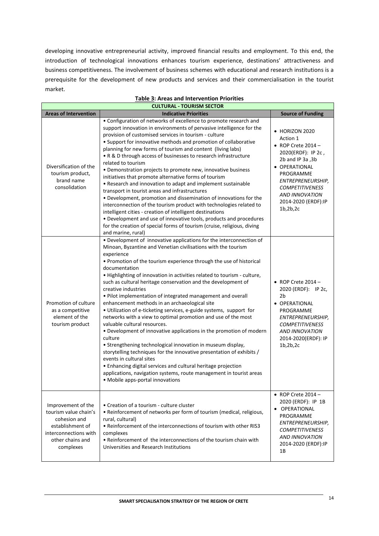developing innovative entrepreneurial activity, improved financial results and employment. To this end, the introduction of technological innovations enhances tourism experience, destinations' attractiveness and business competitiveness. The involvement of business schemes with educational and research institutions is a prerequisite for the development of new products and services and their commercialisation in the tourist market.

| <b>CULTURAL - TOURISM SECTOR</b>                                                                                                          |                                                                                                                                                                                                                                                                                                                                                                                                                                                                                                                                                                                                                                                                                                                                                                                                                                                                                                                                                                                                                                                                                                                                          |                                                                                                                                                                                                                                               |  |  |  |
|-------------------------------------------------------------------------------------------------------------------------------------------|------------------------------------------------------------------------------------------------------------------------------------------------------------------------------------------------------------------------------------------------------------------------------------------------------------------------------------------------------------------------------------------------------------------------------------------------------------------------------------------------------------------------------------------------------------------------------------------------------------------------------------------------------------------------------------------------------------------------------------------------------------------------------------------------------------------------------------------------------------------------------------------------------------------------------------------------------------------------------------------------------------------------------------------------------------------------------------------------------------------------------------------|-----------------------------------------------------------------------------------------------------------------------------------------------------------------------------------------------------------------------------------------------|--|--|--|
| <b>Areas of Intervention</b>                                                                                                              | <b>Indicative Priorities</b>                                                                                                                                                                                                                                                                                                                                                                                                                                                                                                                                                                                                                                                                                                                                                                                                                                                                                                                                                                                                                                                                                                             | <b>Source of Funding</b>                                                                                                                                                                                                                      |  |  |  |
| Diversification of the<br>tourism product,<br>brand name<br>consolidation                                                                 | • Configuration of networks of excellence to promote research and<br>support innovation in environments of pervasive intelligence for the<br>provision of customised services in tourism - culture<br>• Support for innovative methods and promotion of collaborative<br>planning for new forms of tourism and content (living labs)<br>• R & D through access of businesses to research infrastructure<br>related to tourism<br>• Demonstration projects to promote new, innovative business<br>initiatives that promote alternative forms of tourism<br>• Research and innovation to adapt and implement sustainable<br>transport in tourist areas and infrastructures<br>• Development, promotion and dissemination of innovations for the<br>interconnection of the tourism product with technologies related to<br>intelligent cities - creation of intelligent destinations<br>• Development and use of innovative tools, products and procedures<br>for the creation of special forms of tourism (cruise, religious, diving<br>and marine, rural)                                                                                 | • HORIZON 2020<br>Action 1<br>$\bullet$ ROP Crete 2014 -<br>2020(ERDF): IP 2c,<br>2b and IP 3a, 3b<br>· OPERATIONAL<br>PROGRAMME<br>ENTREPRENEURSHIP,<br><b>COMPETITIVENESS</b><br><b>AND INNOVATION</b><br>2014-2020 (ERDF):IP<br>1b, 2b, 2c |  |  |  |
| Promotion of culture<br>as a competitive<br>element of the<br>tourism product                                                             | • Development of innovative applications for the interconnection of<br>Minoan, Byzantine and Venetian civilisations with the tourism<br>experience<br>• Promotion of the tourism experience through the use of historical<br>documentation<br>. Highlighting of innovation in activities related to tourism - culture,<br>such as cultural heritage conservation and the development of<br>creative industries<br>• Pilot implementation of integrated management and overall<br>enhancement methods in an archaeological site<br>. Utilization of e-ticketing services, e-guide systems, support for<br>networks with a view to optimal promotion and use of the most<br>valuable cultural resources.<br>• Development of innovative applications in the promotion of modern<br>culture<br>• Strengthening technological innovation in museum display,<br>storytelling techniques for the innovative presentation of exhibits /<br>events in cultural sites<br>• Enhancing digital services and cultural heritage projection<br>applications, navigation systems, route management in tourist areas<br>• Mobile apps-portal innovations | $\bullet$ ROP Crete 2014 -<br>2020 (ERDF): IP 2c,<br>2 <sub>b</sub><br>· OPERATIONAL<br>PROGRAMME<br>ENTREPRENEURSHIP,<br><b>COMPETITIVENESS</b><br><b>AND INNOVATION</b><br>2014-2020(ERDF): IP<br>1b, 2b, 2c                                |  |  |  |
| Improvement of the<br>tourism value chain's<br>cohesion and<br>establishment of<br>interconnections with<br>other chains and<br>complexes | • Creation of a tourism - culture cluster<br>• Reinforcement of networks per form of tourism (medical, religious,<br>rural, cultural)<br>• Reinforcement of the interconnections of tourism with other RIS3<br>complexes<br>• Reinforcement of the interconnections of the tourism chain with<br>Universities and Research Institutions                                                                                                                                                                                                                                                                                                                                                                                                                                                                                                                                                                                                                                                                                                                                                                                                  | $\bullet$ ROP Crete 2014 -<br>2020 (ERDF): IP 1B<br>OPERATIONAL<br>PROGRAMME<br>ENTREPRENEURSHIP,<br><b>COMPETITIVENESS</b><br><b>AND INNOVATION</b><br>2014-2020 (ERDF):IP<br>1Β                                                             |  |  |  |

#### **Table 3: Areas and Intervention Priorities**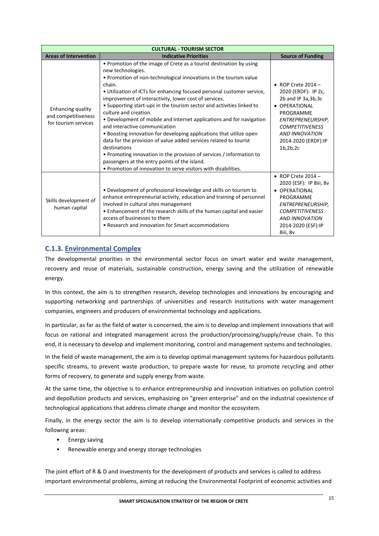| <b>CULTURAL - TOURISM SECTOR</b>                                 |                                                                                                                                                                                                                                                                                                                                                                                                                                                                                                                                                                                                                                                                                                                                                                                                                                                                              |                                                                                                                                                                                                                      |  |  |  |
|------------------------------------------------------------------|------------------------------------------------------------------------------------------------------------------------------------------------------------------------------------------------------------------------------------------------------------------------------------------------------------------------------------------------------------------------------------------------------------------------------------------------------------------------------------------------------------------------------------------------------------------------------------------------------------------------------------------------------------------------------------------------------------------------------------------------------------------------------------------------------------------------------------------------------------------------------|----------------------------------------------------------------------------------------------------------------------------------------------------------------------------------------------------------------------|--|--|--|
| <b>Areas of Intervention</b>                                     | <b>Indicative Priorities</b>                                                                                                                                                                                                                                                                                                                                                                                                                                                                                                                                                                                                                                                                                                                                                                                                                                                 | <b>Source of Funding</b>                                                                                                                                                                                             |  |  |  |
| Enhancing quality<br>and competitiveness<br>for tourism services | • Promotion of the image of Crete as a tourist destination by using<br>new technologies.<br>. Promotion of non-technological innovations in the tourism value<br>chain.<br>. Utilization of ICTs for enhancing focused personal customer service,<br>improvement of interactivity, lower cost of services.<br>• Supporting start-ups in the tourism sector and activities linked to<br>culture and creation.<br>• Development of mobile and Internet applications and for navigation<br>and interactive communication<br>. Boosting innovation for developing applications that utilize open<br>data for the provision of value added services related to tourist<br>destinations<br>• Promoting innovation in the provision of services / information to<br>passengers at the entry points of the island.<br>• Promotion of innovation to serve visitors with disabilities. | $\bullet$ ROP Crete 2014 -<br>2020 (ERDF): IP 2c,<br>2b and IP 3a, 3b, 3c<br>• OPERATIONAL<br>PROGRAMME<br>ENTREPRENEURSHIP,<br><b>COMPETITIVENESS</b><br><b>AND INNOVATION</b><br>2014-2020 (ERDF):IP<br>1b, 2b, 2c |  |  |  |
| Skills development of<br>human capital                           | • Development of professional knowledge and skills on tourism to<br>enhance entrepreneurial activity, education and training of personnel<br>involved in cultural sites management<br>• Enhancement of the research skills of the human capital and easier<br>access of businesses to them<br>• Research and innovation for Smart accommodations                                                                                                                                                                                                                                                                                                                                                                                                                                                                                                                             | $\bullet$ ROP Crete 2014 -<br>2020 (ESF): IP 8iii, 8v<br>• OPERATIONAL<br>PROGRAMME<br>ENTREPRENEURSHIP,<br><b>COMPETITIVENESS</b><br><b>AND INNOVATION</b><br>2014-2020 (ESF):IP<br>8iii, 8v                        |  |  |  |

## **C.1.3. Environmental Complex**

The developmental priorities in the environmental sector focus on smart water and waste management, recovery and reuse of materials, sustainable construction, energy saving and the utilization of renewable energy.

In this context, the aim is to strengthen research, develop technologies and innovations by encouraging and supporting networking and partnerships of universities and research institutions with water management companies, engineers and producers of environmental technology and applications.

In particular, as far as the field of water is concerned, the aim is to develop and implement innovations that will focus on rational and integrated management across the production/processing/supply/reuse chain. To this end, it is necessary to develop and implement monitoring, control and management systems and technologies.

In the field of waste management, the aim is to develop optimal management systems for hazardous pollutants specific streams, to prevent waste production, to prepare waste for reuse, to promote recycling and other forms of recovery, to generate and supply energy from waste.

At the same time, the objective is to enhance entrepreneurship and innovation initiatives on pollution control and depollution products and services, emphasizing on "green enterprise" and on the industrial coexistence of technological applications that address climate change and monitor the ecosystem.

Finally, in the energy sector the aim is to develop internationally competitive products and services in the following areas:

- Energy saving
- Renewable energy and energy storage technologies

The joint effort of R & D and investments for the development of products and services is called to address important environmental problems, aiming at reducing the Environmental Footprint of economic activities and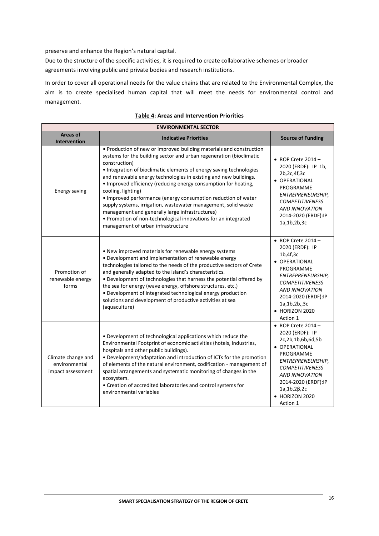preserve and enhance the Region's natural capital.

Due to the structure of the specific activities, it is required to create collaborative schemes or broader agreements involving public and private bodies and research institutions.

In order to cover all operational needs for the value chains that are related to the Environmental Complex, the aim is to create specialised human capital that will meet the needs for environmental control and management.

| <b>ENVIRONMENTAL SECTOR</b>                              |                                                                                                                                                                                                                                                                                                                                                                                                                                                                                                                                                                                                                                                                                               |                                                                                                                                                                                                                                                     |  |  |  |
|----------------------------------------------------------|-----------------------------------------------------------------------------------------------------------------------------------------------------------------------------------------------------------------------------------------------------------------------------------------------------------------------------------------------------------------------------------------------------------------------------------------------------------------------------------------------------------------------------------------------------------------------------------------------------------------------------------------------------------------------------------------------|-----------------------------------------------------------------------------------------------------------------------------------------------------------------------------------------------------------------------------------------------------|--|--|--|
| <b>Areas of</b><br><b>Intervention</b>                   | <b>Indicative Priorities</b>                                                                                                                                                                                                                                                                                                                                                                                                                                                                                                                                                                                                                                                                  | <b>Source of Funding</b>                                                                                                                                                                                                                            |  |  |  |
| Energy saving                                            | • Production of new or improved building materials and construction<br>systems for the building sector and urban regeneration (bioclimatic<br>construction)<br>• Integration of bioclimatic elements of energy saving technologies<br>and renewable energy technologies in existing and new buildings.<br>• Improved efficiency (reducing energy consumption for heating,<br>cooling, lighting)<br>. Improved performance (energy consumption reduction of water<br>supply systems, irrigation, wastewater management, solid waste<br>management and generally large infrastructures)<br>• Promotion of non-technological innovations for an integrated<br>management of urban infrastructure | $\bullet$ ROP Crete 2014 -<br>2020 (ERDF): IP 1b,<br>2b, 2c, 4f, 3c<br>· OPERATIONAL<br>PROGRAMME<br>ENTREPRENEURSHIP,<br><b>COMPETITIVENESS</b><br><b>AND INNOVATION</b><br>2014-2020 (ERDF):IP<br>1a, 1b, 2b, 3c                                  |  |  |  |
| Promotion of<br>renewable energy<br>forms                | • New improved materials for renewable energy systems<br>• Development and implementation of renewable energy<br>technologies tailored to the needs of the productive sectors of Crete<br>and generally adapted to the island's characteristics.<br>• Development of technologies that harness the potential offered by<br>the sea for energy (wave energy, offshore structures, etc.)<br>• Development of integrated technological energy production<br>solutions and development of productive activities at sea<br>(aquaculture)                                                                                                                                                           | $\bullet$ ROP Crete 2014 -<br>2020 (ERDF): IP<br>1b,4f,3c<br>· OPERATIONAL<br>PROGRAMME<br>ENTREPRENEURSHIP,<br><b>COMPETITIVENESS</b><br><b>AND INNOVATION</b><br>2014-2020 (ERDF):IP<br>1a, 1b, 2b, 3c<br>$\bullet$ HORIZON 2020<br>Action 1      |  |  |  |
| Climate change and<br>environmental<br>impact assessment | • Development of technological applications which reduce the<br>Environmental Footprint of economic activities (hotels, industries,<br>hospitals and other public buildings).<br>• Development/adaptation and introduction of ICTs for the promotion<br>of elements of the natural environment, codification - management of<br>spatial arrangements and systematic monitoring of changes in the<br>ecosystem.<br>• Creation of accredited laboratories and control systems for<br>environmental variables                                                                                                                                                                                    | $\bullet$ ROP Crete 2014 -<br>2020 (ERDF): IP<br>2c,2b,1b,6b,6d,5b<br>• OPERATIONAL<br>PROGRAMME<br>ENTREPRENEURSHIP,<br><b>COMPETITIVENESS</b><br><b>AND INNOVATION</b><br>2014-2020 (ERDF):IP<br>$1a, 1b, 2\beta, 2c$<br>HORIZON 2020<br>Action 1 |  |  |  |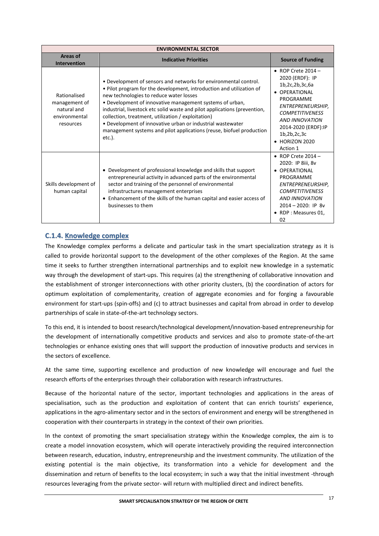| <b>ENVIRONMENTAL SECTOR</b>                                                |                                                                                                                                                                                                                                                                                                                                                                                                                                                                                                                                       |                                                                                                                                                                                                                                           |  |  |  |
|----------------------------------------------------------------------------|---------------------------------------------------------------------------------------------------------------------------------------------------------------------------------------------------------------------------------------------------------------------------------------------------------------------------------------------------------------------------------------------------------------------------------------------------------------------------------------------------------------------------------------|-------------------------------------------------------------------------------------------------------------------------------------------------------------------------------------------------------------------------------------------|--|--|--|
| Areas of<br><b>Intervention</b>                                            | <b>Indicative Priorities</b>                                                                                                                                                                                                                                                                                                                                                                                                                                                                                                          | <b>Source of Funding</b>                                                                                                                                                                                                                  |  |  |  |
| Rationalised<br>management of<br>natural and<br>environmental<br>resources | • Development of sensors and networks for environmental control.<br>. Pilot program for the development, introduction and utilization of<br>new technologies to reduce water losses<br>• Development of innovative management systems of urban,<br>industrial, livestock etc solid waste and pilot applications (prevention,<br>collection, treatment, utilization / exploitation)<br>• Development of innovative urban or industrial wastewater<br>management systems and pilot applications (reuse, biofuel production<br>$etc.$ ). | $\bullet$ ROP Crete 2014 -<br>2020 (ERDF): IP<br>1b,2c,2b,3c,6a<br>• OPERATIONAL<br>PROGRAMME<br>ENTREPRENEURSHIP,<br><b>COMPETITIVENESS</b><br><b>AND INNOVATION</b><br>2014-2020 (ERDF):IP<br>1b,2b,2c,3c<br>• HORIZON 2020<br>Action 1 |  |  |  |
| Skills development of<br>human capital                                     | Development of professional knowledge and skills that support<br>entrepreneurial activity in advanced parts of the environmental<br>sector and training of the personnel of environmental<br>infrastructures management enterprises<br>• Enhancement of the skills of the human capital and easier access of<br>businesses to them                                                                                                                                                                                                    | $\bullet$ ROP Crete 2014 -<br>2020: IP 8iii, 8v<br>• OPERATIONAL<br>PROGRAMME<br>ENTREPRENEURSHIP,<br><b>COMPETITIVENESS</b><br><b>AND INNOVATION</b><br>$2014 - 2020$ : IP 8v<br>• RDP : Measures 01,<br>02                              |  |  |  |

## **C.1.4. Knowledge complex**

The Knowledge complex performs a delicate and particular task in the smart specialization strategy as it is called to provide horizontal support to the development of the other complexes of the Region. At the same time it seeks to further strengthen international partnerships and to exploit new knowledge in a systematic way through the development of start-ups. This requires (a) the strengthening of collaborative innovation and the establishment of stronger interconnections with other priority clusters, (b) the coordination of actors for optimum exploitation of complementarity, creation of aggregate economies and for forging a favourable environment for start-ups (spin-offs) and (c) to attract businesses and capital from abroad in order to develop partnerships of scale in state-of-the-art technology sectors.

To this end, it is intended to boost research/technological development/innovation-based entrepreneurship for the development of internationally competitive products and services and also to promote state-of-the-art technologies or enhance existing ones that will support the production of innovative products and services in the sectors of excellence.

At the same time, supporting excellence and production of new knowledge will encourage and fuel the research efforts of the enterprises through their collaboration with research infrastructures.

Because of the horizontal nature of the sector, important technologies and applications in the areas of specialisation, such as the production and exploitation of content that can enrich tourists' experience, applications in the agro-alimentary sector and in the sectors of environment and energy will be strengthened in cooperation with their counterparts in strategy in the context of their own priorities.

In the context of promoting the smart specialisation strategy within the Knowledge complex, the aim is to create a model innovation ecosystem, which will operate interactively providing the required interconnection between research, education, industry, entrepreneurship and the investment community. The utilization of the existing potential is the main objective, its transformation into a vehicle for development and the dissemination and return of benefits to the local ecosystem; in such a way that the initial investment -through resources leveraging from the private sector- will return with multiplied direct and indirect benefits.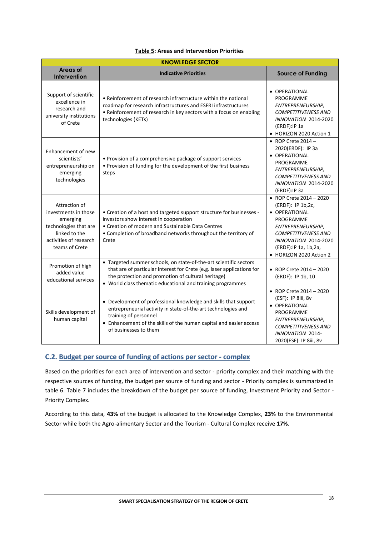| <b>KNOWLEDGE SECTOR</b>                                                                                                                 |                                                                                                                                                                                                                                                                 |                                                                                                                                                                                                                   |  |  |
|-----------------------------------------------------------------------------------------------------------------------------------------|-----------------------------------------------------------------------------------------------------------------------------------------------------------------------------------------------------------------------------------------------------------------|-------------------------------------------------------------------------------------------------------------------------------------------------------------------------------------------------------------------|--|--|
| Areas of<br>Intervention                                                                                                                | <b>Indicative Priorities</b>                                                                                                                                                                                                                                    | <b>Source of Funding</b>                                                                                                                                                                                          |  |  |
| Support of scientific<br>excellence in<br>research and<br>university institutions<br>of Crete                                           | • Reinforcement of research infrastructure within the national<br>roadmap for research infrastructures and ESFRI infrastructures<br>• Reinforcement of research in key sectors with a focus on enabling<br>technologies (KETs)                                  | • OPERATIONAL<br>PROGRAMME<br>ENTREPRENEURSHIP,<br><b>COMPETITIVENESS AND</b><br><b>INNOVATION 2014-2020</b><br>(ERDF):IP 1a<br>• HORIZON 2020 Action 1                                                           |  |  |
| Enhancement of new<br>scientists'<br>entrepreneurship on<br>emerging<br>technologies                                                    | • Provision of a comprehensive package of support services<br>. Provision of funding for the development of the first business<br>steps                                                                                                                         | • ROP Crete $2014 -$<br>2020(ERDF): IP 3a<br>• OPERATIONAL<br>PROGRAMME<br>ENTREPRENEURSHIP,<br><b>COMPETITIVENESS AND</b><br><b>INNOVATION 2014-2020</b><br>(ERDF):IP 3a                                         |  |  |
| Attraction of<br>investments in those<br>emerging<br>technologies that are<br>linked to the<br>activities of research<br>teams of Crete | • Creation of a host and targeted support structure for businesses -<br>investors show interest in cooperation<br>• Creation of modern and Sustainable Data Centres<br>• Completion of broadband networks throughout the territory of<br>Crete                  | • ROP Crete 2014 - 2020<br>(ERDF): IP 1b,2c,<br>· OPERATIONAL<br>PROGRAMME<br>ENTREPRENEURSHIP,<br><b>COMPETITIVENESS AND</b><br><b>INNOVATION 2014-2020</b><br>(ERDF): IP 1a, 1b, 2a,<br>• HORIZON 2020 Action 2 |  |  |
| Promotion of high<br>added value<br>educational services                                                                                | • Targeted summer schools, on state-of-the-art scientific sectors<br>that are of particular interest for Crete (e.g. laser applications for<br>the protection and promotion of cultural heritage)<br>• World class thematic educational and training programmes | • ROP Crete $2014 - 2020$<br>(ERDF): IP 1b, 10                                                                                                                                                                    |  |  |
| Skills development of<br>human capital                                                                                                  | • Development of professional knowledge and skills that support<br>entrepreneurial activity in state-of-the-art technologies and<br>training of personnel<br>• Enhancement of the skills of the human capital and easier access<br>of businesses to them        | • ROP Crete 2014 - 2020<br>(ESF): IP 8iii, 8v<br>• OPERATIONAL<br>PROGRAMME<br>ENTREPRENEURSHIP,<br><b>COMPETITIVENESS AND</b><br><b>INNOVATION 2014-</b><br>2020(ESF): IP 8iii, 8v                               |  |  |

## **C.2. Budget per source of funding of actions per sector - complex**

Based on the priorities for each area of intervention and sector - priority complex and their matching with the respective sources of funding, the budget per source of funding and sector - Priority complex is summarized in table 6. Table 7 includes the breakdown of the budget per source of funding, Investment Priority and Sector - Priority Complex.

According to this data, **43%** of the budget is allocated to the Knowledge Complex, **23%** to the Environmental Sector while both the Agro-alimentary Sector and the Tourism - Cultural Complex receive **17%**.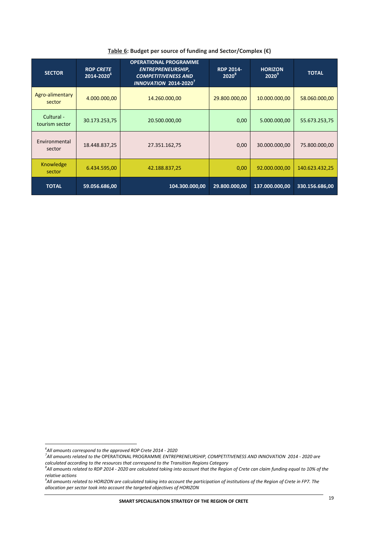| <b>SECTOR</b>                | <b>ROP CRETE</b><br>2014-2020 <sup>6</sup> | <b>OPERATIONAL PROGRAMME</b><br><b>ENTREPRENEURSHIP,</b><br><b>RDP 2014-</b><br>$2020^8$<br><b>COMPETITIVENESS AND</b><br>INNOVATION 2014-2020 <sup>7</sup> |               | <b>HORIZON</b><br>$2020^9$ | <b>TOTAL</b>   |
|------------------------------|--------------------------------------------|-------------------------------------------------------------------------------------------------------------------------------------------------------------|---------------|----------------------------|----------------|
| Agro-alimentary<br>sector    | 4.000.000,00                               | 14.260.000,00                                                                                                                                               | 29.800.000,00 | 10.000.000,00              | 58.060.000,00  |
| Cultural -<br>tourism sector | 30.173.253,75                              | 20.500.000,00                                                                                                                                               | 0,00          | 5.000.000,00               | 55.673.253,75  |
| Environmental<br>sector      | 18.448.837,25                              | 27.351.162,75                                                                                                                                               | 0,00          | 30.000.000,00              | 75.800.000,00  |
| Knowledge<br>sector          | 6.434.595,00                               | 42.188.837,25                                                                                                                                               | 0,00          | 92.000.000,00              | 140.623.432,25 |
| <b>TOTAL</b>                 | 59.056.686,00                              | 104.300.000,00                                                                                                                                              | 29.800.000,00 | 137.000.000,00             | 330.156.686,00 |

### **Table 6: Budget per source of funding and Sector/Complex (€)**

 *6 All amounts correspond to the approved ROP Crete 2014 - 2020*

*<sup>7</sup> All amounts related to the* OPERATIONAL PROGRAMME *ENTREPRENEURSHIP, COMPETITIVENESS AND INNOVATION 2014 - 2020 are calculated according to the resources that correspond to the Transition Regions Category* 

*<sup>8</sup> All amounts related to RDP 2014 - 2020 are calculated taking into account that the Region of Crete can claim funding equal to 10% of the relative actions* 

*<sup>9</sup> All amounts related to HORIZON are calculated taking into account the participation of institutions of the Region of Crete in FP7. The allocation per sector took into account the targeted objectives of HORIZON*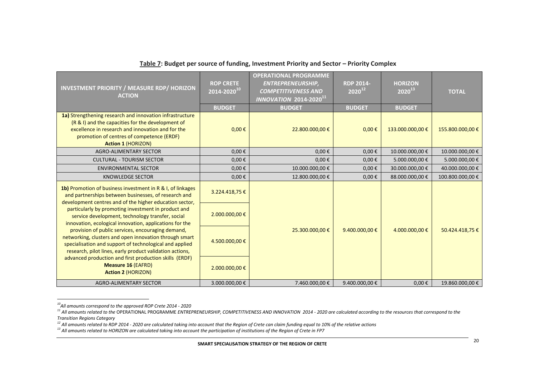| <b>INVESTMENT PRIORITY / MEASURE RDP/ HORIZON</b><br><b>ACTION</b>                                                                                                                                                                           | <b>ROP CRETE</b><br>$\overline{2014\text{-}2020^{10}}$<br><b>BUDGET</b> | <b>OPERATIONAL PROGRAMME</b><br><b>ENTREPRENEURSHIP,</b><br><b>COMPETITIVENESS AND</b><br>$\overline{INNOVATION}$ 2014-2020 <sup>11</sup><br><b>BUDGET</b> | <b>RDP 2014-</b><br>$2020^{12}$<br><b>BUDGET</b> | <b>HORIZON</b><br>$2020^{13}$<br><b>BUDGET</b> | <b>TOTAL</b>     |
|----------------------------------------------------------------------------------------------------------------------------------------------------------------------------------------------------------------------------------------------|-------------------------------------------------------------------------|------------------------------------------------------------------------------------------------------------------------------------------------------------|--------------------------------------------------|------------------------------------------------|------------------|
| 1a) Strengthening research and innovation infrastructure<br>(R & I) and the capacities for the development of<br>excellence in research and innovation and for the<br>promotion of centres of competence (ERDF)<br><b>Action 1 (HORIZON)</b> | $0,00 \in$                                                              | 22.800.000,00 €                                                                                                                                            | $0,00 \in$                                       | 133.000.000,00 €                               | 155.800.000,00 € |
| <b>AGRO-ALIMENTARY SECTOR</b>                                                                                                                                                                                                                | $0,00 \in$                                                              | $0,00 \in$                                                                                                                                                 | $0,00 \in$                                       | 10.000.000,00 €                                | 10.000.000,00 €  |
| <b>CULTURAL - TOURISM SECTOR</b>                                                                                                                                                                                                             | $0,00 \in$                                                              | $0,00 \in$                                                                                                                                                 | $0,00 \in$                                       | 5.000.000,00 €                                 | 5.000.000,00 €   |
| <b>ENVIRONMENTAL SECTOR</b>                                                                                                                                                                                                                  | $0,00 \in$                                                              | 10.000.000,00 €                                                                                                                                            | $0,00 \in$                                       | 30.000.000,00 €                                | 40.000.000,00 €  |
| <b>KNOWLEDGE SECTOR</b>                                                                                                                                                                                                                      | $0,00 \in$                                                              | 12.800.000,00 €                                                                                                                                            | $0.00 \epsilon$                                  | 88.000.000,00 €                                | 100.800.000,00 € |
| 1b) Promotion of business investment in R & I, of linkages<br>and partnerships between businesses, of research and<br>development centres and of the higher education sector,                                                                | 3.224.418,75€                                                           |                                                                                                                                                            |                                                  |                                                |                  |
| particularly by promoting investment in product and<br>service development, technology transfer, social<br>innovation, ecological innovation, applications for the                                                                           | 2.000.000,00 €                                                          |                                                                                                                                                            |                                                  |                                                |                  |
| provision of public services, encouraging demand,<br>networking, clusters and open innovation through smart<br>specialisation and support of technological and applied<br>research, pilot lines, early product validation actions,           | 4.500.000,00 €                                                          | 25.300.000,00 €                                                                                                                                            | 9.400.000,00 $\epsilon$                          | 4.000.000,00 €                                 | 50.424.418,75€   |
| advanced production and first production skills (ERDF)<br><b>Measure 16 (EAFRD)</b><br><b>Action 2 (HORIZON)</b>                                                                                                                             | 2.000.000,00 €                                                          |                                                                                                                                                            |                                                  |                                                |                  |
| <b>AGRO-ALIMENTARY SECTOR</b>                                                                                                                                                                                                                | 3.000.000,00 €                                                          | 7.460.000,00 €                                                                                                                                             | 9.400.000,00 €                                   | $0.00 \epsilon$                                | 19.860.000,00 €  |

## **Table 7: Budget per source of funding, Investment Priority and Sector – Priority Complex**

1

*<sup>10</sup>All amounts correspond to the approved ROP Crete 2014 - 2020*

*<sup>11</sup> All amounts related to the* OPERATIONAL PROGRAMME *ENTREPRENEURSHIP, COMPETITIVENESS AND INNOVATION 2014 - 2020 are calculated according to the resources that correspond to the Transition Regions Category* 

*<sup>12</sup> All amounts related to RDP 2014 - 2020 are calculated taking into account that the Region of Crete can claim funding equal to 10% of the relative actions* 

*<sup>13</sup> All amounts related to HORIZON are calculated taking into account the participation of institutions of the Region of Crete in FP7*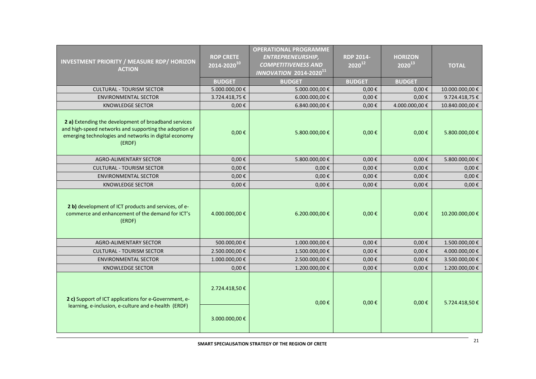| <b>INVESTMENT PRIORITY / MEASURE RDP/ HORIZON</b><br><b>ACTION</b>                                                                                                                | <b>ROP CRETE</b><br>2014-2020 <sup>10</sup> | <b>OPERATIONAL PROGRAMME</b><br><b>ENTREPRENEURSHIP,</b><br><b>COMPETITIVENESS AND</b><br><b>INNOVATION 2014-202011</b> | <b>RDP 2014-</b><br>$2020^{12}$ | <b>HORIZON</b><br>$2020^{13}$ | <b>TOTAL</b>                     |  |  |
|-----------------------------------------------------------------------------------------------------------------------------------------------------------------------------------|---------------------------------------------|-------------------------------------------------------------------------------------------------------------------------|---------------------------------|-------------------------------|----------------------------------|--|--|
|                                                                                                                                                                                   | <b>BUDGET</b>                               | <b>BUDGET</b>                                                                                                           | <b>BUDGET</b>                   | <b>BUDGET</b>                 |                                  |  |  |
| <b>CULTURAL - TOURISM SECTOR</b>                                                                                                                                                  | 5.000.000,00 €                              | 5.000.000,00 €                                                                                                          | $0,00 \in$                      | $0,00 \in$                    | 10.000.000,00€                   |  |  |
| <b>ENVIRONMENTAL SECTOR</b><br><b>KNOWLEDGE SECTOR</b>                                                                                                                            | 3.724.418,75€<br>$0,00 \in$                 | 6.000.000,00 €<br>6.840.000,00€                                                                                         | $0,00 \in$<br>$0,00 \in$        | $0,00 \in$<br>4.000.000,00 €  | 9.724.418,75€<br>10.840.000,00 € |  |  |
| 2 a) Extending the development of broadband services<br>and high-speed networks and supporting the adoption of<br>emerging technologies and networks in digital economy<br>(ERDF) | $0,00 \in$                                  | 5.800.000,00 €                                                                                                          | $0,00 \in$                      | $0,00 \in$                    | 5.800.000,00 €                   |  |  |
| <b>AGRO-ALIMENTARY SECTOR</b>                                                                                                                                                     | $0,00 \in$                                  | 5.800.000,00 €                                                                                                          | $0,00 \in$                      | $0,00 \in$                    | 5.800.000,00 €                   |  |  |
| <b>CULTURAL - TOURISM SECTOR</b>                                                                                                                                                  | $0,00 \in$                                  | $0.00 \in$                                                                                                              | $0,00 \in$                      | $0,00 \in$                    | $0,00 \in$                       |  |  |
| <b>ENVIRONMENTAL SECTOR</b>                                                                                                                                                       | $0,00 \in$                                  | $0,00 \in$                                                                                                              | $0,00 \in$                      | $0,00 \in$                    | $0,00 \in$                       |  |  |
| <b>KNOWLEDGE SECTOR</b>                                                                                                                                                           | $0,00 \in$                                  | $0,00 \in$                                                                                                              | $0,00 \in$                      | $0,00 \in$                    | $0,00 \in$                       |  |  |
| 2 b) development of ICT products and services, of e-<br>commerce and enhancement of the demand for ICT's<br>(ERDF)                                                                | 4.000.000,00 €                              | 6.200.000,00 €                                                                                                          | $0,00 \in$                      | $0,00 \in$                    | 10.200.000,00€                   |  |  |
| <b>AGRO-ALIMENTARY SECTOR</b>                                                                                                                                                     | 500.000,00€                                 | 1.000.000,00 €                                                                                                          | $0,00 \in$                      | $0,00 \in$                    | 1.500.000,00€                    |  |  |
| <b>CULTURAL - TOURISM SECTOR</b>                                                                                                                                                  | 2.500.000,00 €                              | 1.500.000,00 €                                                                                                          | $0,00 \in$                      | $0,00 \in$                    | 4.000.000,00 €                   |  |  |
| <b>ENVIRONMENTAL SECTOR</b>                                                                                                                                                       | 1.000.000,00 €                              | 2.500.000,00 €                                                                                                          | $0,00 \in$                      | $0,00 \in$                    | 3.500.000,00 €                   |  |  |
| KNOWLEDGE SECTOR                                                                                                                                                                  | $0,00 \in$                                  | 1.200.000,00€                                                                                                           | $0,00 \in$                      | $0,00 \in$                    | 1.200.000,00€                    |  |  |
| 2 c) Support of ICT applications for e-Government, e-<br>learning, e-inclusion, e-culture and e-health (ERDF)                                                                     | 2.724.418,50€                               | $0,00 \in$                                                                                                              | $0,00 \in$                      | $0,00 \in$                    | 5.724.418,50€                    |  |  |
|                                                                                                                                                                                   | 3.000.000,00 €                              |                                                                                                                         |                                 |                               |                                  |  |  |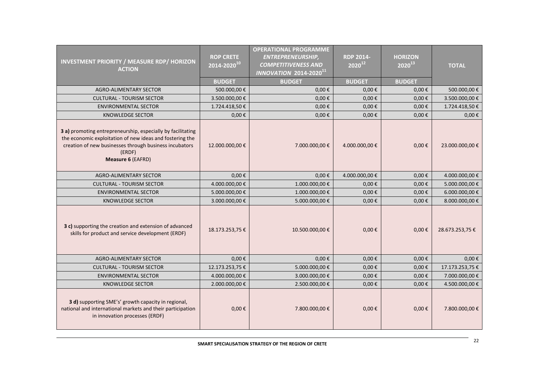| <b>INVESTMENT PRIORITY / MEASURE RDP/ HORIZON</b><br><b>ACTION</b>                                                                                                                                               | <b>ROP CRETE</b><br>2014-2020 <sup>10</sup> | <b>OPERATIONAL PROGRAMME</b><br><b>ENTREPRENEURSHIP,</b><br><b>COMPETITIVENESS AND</b><br><b>INNOVATION 2014-202011</b> | <b>RDP 2014-</b><br>$2020^{12}$ | <b>HORIZON</b><br>$2020^{13}$ | <b>TOTAL</b>    |  |  |  |  |
|------------------------------------------------------------------------------------------------------------------------------------------------------------------------------------------------------------------|---------------------------------------------|-------------------------------------------------------------------------------------------------------------------------|---------------------------------|-------------------------------|-----------------|--|--|--|--|
|                                                                                                                                                                                                                  | <b>BUDGET</b>                               | <b>BUDGET</b>                                                                                                           | <b>BUDGET</b>                   | <b>BUDGET</b>                 |                 |  |  |  |  |
| AGRO-ALIMENTARY SECTOR                                                                                                                                                                                           | 500.000,00€                                 | $0,00 \in$                                                                                                              | $0,00 \in$                      | $0,00 \in$                    | 500.000,00€     |  |  |  |  |
| <b>CULTURAL - TOURISM SECTOR</b>                                                                                                                                                                                 | 3.500.000,00€                               | $0,00 \in$                                                                                                              | $0.00 \in$                      | $0,00 \in$                    | 3.500.000,00 €  |  |  |  |  |
| <b>ENVIRONMENTAL SECTOR</b>                                                                                                                                                                                      | 1.724.418,50€                               | $0,00 \in$                                                                                                              | $0,00 \in$                      | $0,00 \in$                    | 1.724.418,50 €  |  |  |  |  |
| <b>KNOWLEDGE SECTOR</b>                                                                                                                                                                                          | $0,00 \in$                                  | $0,00 \in$                                                                                                              | $0,00 \in$                      | $0,00 \in$                    | $0,00 \in$      |  |  |  |  |
| 3 a) promoting entrepreneurship, especially by facilitating<br>the economic exploitation of new ideas and fostering the<br>creation of new businesses through business incubators<br>(ERDF)<br>Measure 6 (EAFRD) | 12.000.000,00€                              | 7.000.000,00 €                                                                                                          | 4.000.000,00 €                  | $0,00 \in$                    | 23.000.000,00 € |  |  |  |  |
| <b>AGRO-ALIMENTARY SECTOR</b>                                                                                                                                                                                    | $0,00 \in$                                  | $0,00 \in$                                                                                                              | 4.000.000,00 €                  | 0,00€                         | 4.000.000,00 €  |  |  |  |  |
| <b>CULTURAL - TOURISM SECTOR</b>                                                                                                                                                                                 | 4.000.000,00 €                              | 1.000.000,00 €                                                                                                          | $0,00 \in$                      | $0,00 \in$                    | 5.000.000,00 €  |  |  |  |  |
| <b>ENVIRONMENTAL SECTOR</b>                                                                                                                                                                                      | 5.000.000,00€                               | 1.000.000,00€                                                                                                           | $0,00 \in$                      | $0,00 \in$                    | 6.000.000,00 €  |  |  |  |  |
| <b>KNOWLEDGE SECTOR</b>                                                                                                                                                                                          | 3.000.000,00€                               | 5.000.000,00 €                                                                                                          | $0,00 \in$                      | $0,00 \in$                    | 8.000.000,00 €  |  |  |  |  |
| 3 c) supporting the creation and extension of advanced<br>skills for product and service development (ERDF)                                                                                                      | 18.173.253,75€                              | 10.500.000,00€                                                                                                          | $0,00 \in$                      | $0,00 \in$                    | 28.673.253,75€  |  |  |  |  |
| <b>AGRO-ALIMENTARY SECTOR</b>                                                                                                                                                                                    | $0.00 \epsilon$                             | $0,00 \in$                                                                                                              | $0,00 \in$                      | $0,00 \in$                    | $0,00 \in$      |  |  |  |  |
| <b>CULTURAL - TOURISM SECTOR</b>                                                                                                                                                                                 | 12.173.253,75€                              | 5.000.000,00 €                                                                                                          | $0,00 \in$                      | $0,00 \in$                    | 17.173.253,75€  |  |  |  |  |
| <b>ENVIRONMENTAL SECTOR</b>                                                                                                                                                                                      | 4.000.000,00 €                              | 3.000.000,00 €                                                                                                          | $0,00 \in$                      | $0,00 \in$                    | 7.000.000,00 €  |  |  |  |  |
| <b>KNOWLEDGE SECTOR</b>                                                                                                                                                                                          | 2.000.000,00 €                              | 2.500.000,00 €                                                                                                          | $0,00 \in$                      | $0,00 \in$                    | 4.500.000,00 €  |  |  |  |  |
| 3 d) supporting SME's' growth capacity in regional,<br>national and international markets and their participation<br>in innovation processes (ERDF)                                                              | $0,00 \in$                                  | 7.800.000,00 €                                                                                                          | $0,00 \in$                      | $0,00 \in$                    | 7.800.000,00 €  |  |  |  |  |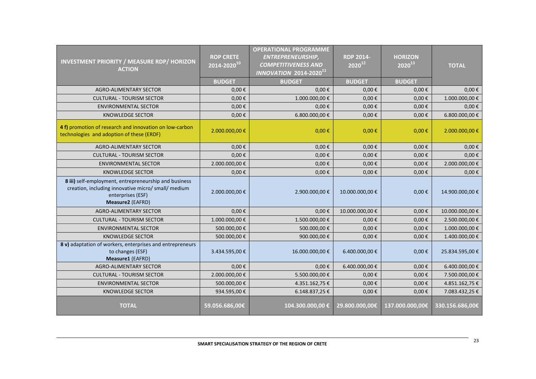| <b>INVESTMENT PRIORITY / MEASURE RDP/ HORIZON</b><br><b>ACTION</b>                                                                                    | <b>ROP CRETE</b><br>$\overline{2014\text{-}2020}^{10}$<br><b>BUDGET</b> | <b>OPERATIONAL PROGRAMME</b><br><b>ENTREPRENEURSHIP,</b><br><b>COMPETITIVENESS AND</b><br><b>INNOVATION 2014-202011</b><br><b>BUDGET</b> | <b>RDP 2014-</b><br>$2020^{12}$<br><b>BUDGET</b> | <b>HORIZON</b><br>$2020^{13}$<br><b>BUDGET</b> | <b>TOTAL</b>    |  |  |
|-------------------------------------------------------------------------------------------------------------------------------------------------------|-------------------------------------------------------------------------|------------------------------------------------------------------------------------------------------------------------------------------|--------------------------------------------------|------------------------------------------------|-----------------|--|--|
| <b>AGRO-ALIMENTARY SECTOR</b>                                                                                                                         | $0,00 \in$                                                              | $0,00 \in$                                                                                                                               | $0,00 \in$                                       | $0,00 \in$                                     | $0,00 \in$      |  |  |
| <b>CULTURAL - TOURISM SECTOR</b>                                                                                                                      | $0,00 \in$                                                              | 1.000.000,00 €                                                                                                                           | $0,00 \in$                                       | $0,00 \in$                                     | 1.000.000,00 €  |  |  |
| <b>ENVIRONMENTAL SECTOR</b>                                                                                                                           | $0,00 \in$                                                              | $0,00 \in$                                                                                                                               | $0,00 \in$                                       | $0,00 \in$                                     | $0,00 \in$      |  |  |
| <b>KNOWLEDGE SECTOR</b>                                                                                                                               | $0,00 \in$                                                              | 6.800.000,00 €                                                                                                                           | $0,00 \in$                                       | $0,00 \in$                                     | 6.800.000,00 €  |  |  |
| 4 f) promotion of research and innovation on low-carbon<br>technologies and adoption of these (ERDF)                                                  | 2.000.000,00 €                                                          | $0,00 \in$                                                                                                                               | $0,00 \in$                                       | $0,00 \in$                                     | 2.000.000,00 €  |  |  |
| <b>AGRO-ALIMENTARY SECTOR</b>                                                                                                                         | $0,00 \in$                                                              | $0,00 \in$                                                                                                                               | $0,00 \in$                                       | $0,00 \in$                                     | $0,00 \in$      |  |  |
| <b>CULTURAL - TOURISM SECTOR</b>                                                                                                                      | $0,00 \in$                                                              | $0,00 \in$                                                                                                                               | $0,00 \in$                                       | $0,00 \in$                                     | $0,00 \in$      |  |  |
| <b>ENVIRONMENTAL SECTOR</b>                                                                                                                           | 2.000.000,00€                                                           | $0,00 \in$                                                                                                                               | $0.00 \in$                                       | $0,00 \in$                                     | 2.000.000,00 €  |  |  |
| <b>KNOWLEDGE SECTOR</b>                                                                                                                               | $0,00 \in$                                                              | $0,00 \in$                                                                                                                               | $0,00 \in$                                       | $0,00 \in$                                     | $0,00 \in$      |  |  |
| 8 iii) self-employment, entrepreneurship and business<br>creation, including innovative micro/ small/ medium<br>enterprises (ESF)<br>Measure2 (EAFRD) | 2.000.000,00€                                                           | 2.900.000,00 €                                                                                                                           | 10.000.000,00 €                                  | $0,00 \in$                                     | 14.900.000,00€  |  |  |
| <b>AGRO-ALIMENTARY SECTOR</b>                                                                                                                         | $0,00 \in$                                                              | $0,00 \in$                                                                                                                               | 10.000.000,00 €                                  | $0,00 \in$                                     | 10.000.000,00€  |  |  |
| <b>CULTURAL - TOURISM SECTOR</b>                                                                                                                      | 1.000.000,00€                                                           | 1.500.000,00 €                                                                                                                           | $0.00 \in$                                       | $0,00 \in$                                     | 2.500.000,00 €  |  |  |
| <b>ENVIRONMENTAL SECTOR</b>                                                                                                                           | 500.000,00€                                                             | 500.000,00€                                                                                                                              | $0,00 \in$                                       | $0,00 \in$                                     | 1.000.000,00 €  |  |  |
| <b>KNOWLEDGE SECTOR</b>                                                                                                                               | 500.000,00€                                                             | 900.000,00€                                                                                                                              | $0,00 \in$                                       | $0,00 \in$                                     | 1.400.000,00 €  |  |  |
| 8 v) adaptation of workers, enterprises and entrepreneurs<br>to changes (ESF)<br>Measure1 (EAFRD)                                                     | 3.434.595,00€                                                           | 16.000.000,00 €                                                                                                                          | 6.400.000,00 €                                   | $0,00 \in$                                     | 25.834.595,00€  |  |  |
| <b>AGRO-ALIMENTARY SECTOR</b>                                                                                                                         | $0,00 \in$                                                              | $0,00 \in$                                                                                                                               | 6.400.000,00 €                                   | $0,00 \in$                                     | 6.400.000,00 €  |  |  |
| <b>CULTURAL - TOURISM SECTOR</b>                                                                                                                      | 2.000.000,00€                                                           | 5.500.000,00 €                                                                                                                           | $0,00 \in$                                       | $0,00 \in$                                     | 7.500.000,00 €  |  |  |
| <b>ENVIRONMENTAL SECTOR</b>                                                                                                                           | 500.000,00€                                                             | 4.351.162,75€                                                                                                                            | $0,00 \in$                                       | $0,00 \in$                                     | 4.851.162,75€   |  |  |
| <b>KNOWLEDGE SECTOR</b>                                                                                                                               | 934.595,00€                                                             | 6.148.837,25€                                                                                                                            | $0,00 \in$                                       | $0,00 \in$                                     | 7.083.432,25€   |  |  |
| <b>TOTAL</b>                                                                                                                                          | 59.056.686,00€                                                          | 104.300.000,00 €                                                                                                                         | 29.800.000,00€                                   | 137.000.000,00€                                | 330.156.686,00€ |  |  |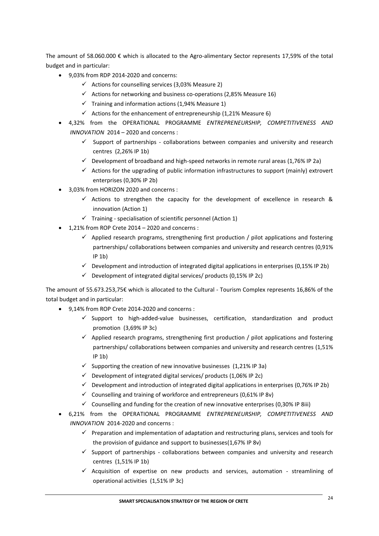The amount of 58.060.000 € which is allocated to the Agro-alimentary Sector represents 17,59% of the total budget and in particular:

- 9,03% from RDP 2014-2020 and concerns:
	- $\checkmark$  Actions for counselling services (3,03% Measure 2)
	- $\checkmark$  Actions for networking and business co-operations (2,85% Measure 16)
	- $\checkmark$  Training and information actions (1,94% Measure 1)
	- $\checkmark$  Actions for the enhancement of entrepreneurship (1,21% Measure 6)
- 4,32% from the OPERATIONAL PROGRAMME *ENTREPRENEURSHIP, COMPETITIVENESS AND INNOVATION* 2014 – 2020 and concerns :
	- $\checkmark$  Support of partnerships collaborations between companies and university and research centres (2,26% IP 1b)
	- $\checkmark$  Development of broadband and high-speed networks in remote rural areas (1,76% IP 2a)
	- $\checkmark$  Actions for the upgrading of public information infrastructures to support (mainly) extrovert enterprises (0,30% IP 2b)
- 3,03% from HORIZON 2020 and concerns :
	- $\checkmark$  Actions to strengthen the capacity for the development of excellence in research & innovation (Action 1)
	- $\checkmark$  Training specialisation of scientific personnel (Action 1)
- 1,21% from ROP Crete 2014 2020 and concerns :
	- $\checkmark$  Applied research programs, strengthening first production / pilot applications and fostering partnerships/ collaborations between companies and university and research centres (0,91% IP 1b)
	- $\checkmark$  Development and introduction of integrated digital applications in enterprises (0,15% IP 2b)
	- $\checkmark$  Development of integrated digital services/ products (0,15% IP 2c)

The amount of 55.673.253,75€ which is allocated to the Cultural - Tourism Complex represents 16,86% of the total budget and in particular:

- 9,14% from ROP Crete 2014-2020 and concerns :
	- $\checkmark$  Support to high-added-value businesses, certification, standardization and product promotion (3,69% IP 3c)
	- $\checkmark$  Applied research programs, strengthening first production / pilot applications and fostering partnerships/ collaborations between companies and university and research centres (1,51% IP 1b)
	- $\checkmark$  Supporting the creation of new innovative businesses (1,21% IP 3a)
	- $\checkmark$  Development of integrated digital services/ products (1,06% IP 2c)
	- $\checkmark$  Development and introduction of integrated digital applications in enterprises (0,76% IP 2b)
	- $\checkmark$  Counselling and training of workforce and entrepreneurs (0,61% IP 8v)
	- $\checkmark$  Counselling and funding for the creation of new innovative enterprises (0,30% IP 8iii)
- 6,21% from the OPERATIONAL PROGRAMME *ENTREPRENEURSHIP, COMPETITIVENESS AND INNOVATION* 2014-2020 and concerns :
	- $\checkmark$  Preparation and implementation of adaptation and restructuring plans, services and tools for the provision of guidance and support to businesses(1,67% IP 8v)
	- $\checkmark$  Support of partnerships collaborations between companies and university and research centres (1,51% IP 1b)
	- $\checkmark$  Acquisition of expertise on new products and services, automation streamlining of operational activities (1,51% IP 3c)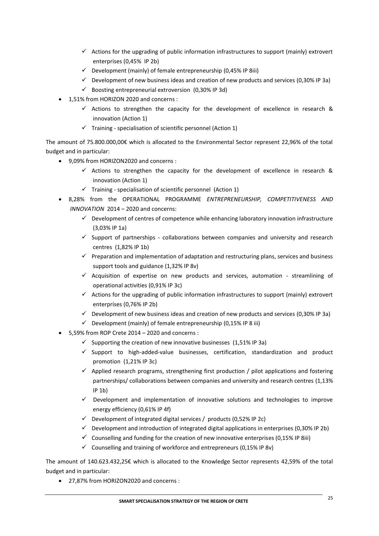- $\checkmark$  Actions for the upgrading of public information infrastructures to support (mainly) extrovert enterprises (0,45% IP 2b)
- $\checkmark$  Development (mainly) of female entrepreneurship (0,45% IP 8iii)
- $\checkmark$  Development of new business ideas and creation of new products and services (0,30% IP 3a)
- $\checkmark$  Boosting entrepreneurial extroversion (0,30% IP 3d)
- 1,51% from HORIZON 2020 and concerns :
	- $\checkmark$  Actions to strengthen the capacity for the development of excellence in research & innovation (Action 1)
	- $\checkmark$  Training specialisation of scientific personnel (Action 1)

The amount of 75.800.000,00€ which is allocated to the Environmental Sector represent 22,96% of the total budget and in particular:

- 9,09% from HORIZON2020 and concerns :
	- $\checkmark$  Actions to strengthen the capacity for the development of excellence in research & innovation (Action 1)
	- $\checkmark$  Training specialisation of scientific personnel (Action 1)
- 8,28% from the OPERATIONAL PROGRAMME *ENTREPRENEURSHIP, COMPETITIVENESS AND INNOVATION* 2014 – 2020 and concerns:
	- $\checkmark$  Development of centres of competence while enhancing laboratory innovation infrastructure (3,03% IP 1a)
	- $\checkmark$  Support of partnerships collaborations between companies and university and research centres (1,82% IP 1b)
	- $\checkmark$  Preparation and implementation of adaptation and restructuring plans, services and business support tools and guidance (1,32% IP 8v)
	- $\checkmark$  Acquisition of expertise on new products and services, automation streamlining of operational activities (0,91% IP 3c)
	- $\checkmark$  Actions for the upgrading of public information infrastructures to support (mainly) extrovert enterprises (0,76% IP 2b)
	- $\checkmark$  Development of new business ideas and creation of new products and services (0,30% IP 3a)
	- $\checkmark$  Development (mainly) of female entrepreneurship (0,15% IP 8 iii)
- 5,59% from ROP Crete 2014 2020 and concerns :
	- $\checkmark$  Supporting the creation of new innovative businesses (1,51% IP 3a)
	- $\checkmark$  Support to high-added-value businesses, certification, standardization and product promotion (1,21% IP 3c)
	- $\checkmark$  Applied research programs, strengthening first production / pilot applications and fostering partnerships/ collaborations between companies and university and research centres (1,13% IP 1b)
	- $\checkmark$  Development and implementation of innovative solutions and technologies to improve energy efficiency (0,61% IP 4f)
	- $\checkmark$  Development of integrated digital services / products (0,52% IP 2c)
	- $\checkmark$  Development and introduction of integrated digital applications in enterprises (0,30% IP 2b)
	- $\checkmark$  Counselling and funding for the creation of new innovative enterprises (0,15% IP 8iii)
	- $\checkmark$  Counselling and training of workforce and entrepreneurs (0,15% IP 8v)

The amount of 140.623.432,25€ which is allocated to the Knowledge Sector represents 42,59% of the total budget and in particular:

27,87% from HORIZON2020 and concerns :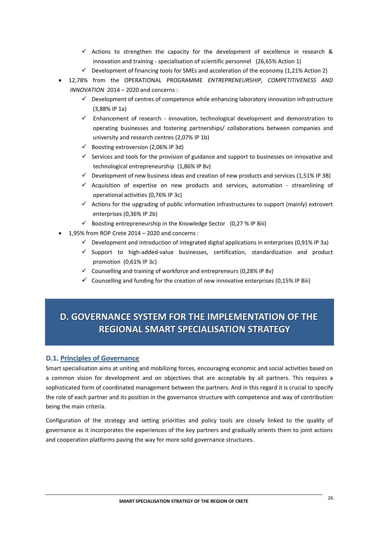- $\checkmark$  Actions to strengthen the capacity for the development of excellence in research & innovation and training - specialisation of scientific personnel (26,65% Action 1)
- $\checkmark$  Development of financing tools for SMEs and acceleration of the economy (1,21% Action 2)
- 12,78% from the OPERATIONAL PROGRAMME *ENTREPRENEURSHIP, COMPETITIVENESS AND INNOVATION* 2014 – 2020 and concerns :
	- $\checkmark$  Development of centres of competence while enhancing laboratory innovation infrastructure (3,88% IP 1a)
	- $\checkmark$  Enhancement of research innovation, technological development and demonstration to operating businesses and fostering partnerships/ collaborations between companies and university and research centres (2,07% IP 1b)
	- $\checkmark$  Boosting extroversion (2,06% IP 3d)
	- $\checkmark$  Services and tools for the provision of guidance and support to businesses on innovative and technological entrepreneurship (1,86% IP 8v)
	- $\checkmark$  Development of new business ideas and creation of new products and services (1,51% IP 3B)
	- $\checkmark$  Acquisition of expertise on new products and services, automation streamlining of operational activities (0,76% IP 3c)
	- $\checkmark$  Actions for the upgrading of public information infrastructures to support (mainly) extrovert enterprises (0,36% IP 2b)
	- $\checkmark$  Boosting entrepreneurship in the Knowledge Sector (0,27 % IP 8iii)
- 1,95% from ROP Crete 2014 2020 and concerns :
	- $\checkmark$  Development and introduction of integrated digital applications in enterprises (0,91% IP 3a)
	- $\checkmark$  Support to high-added-value businesses, certification, standardization and product promotion (0,61% IP 3c)
	- $\checkmark$  Counselling and training of workforce and entrepreneurs (0,28% IP 8v)
	- $\checkmark$  Counselling and funding for the creation of new innovative enterprises (0,15% IP 8iii)

# **D.. GOVERNANCE SYSTEM FOR THEIIMPLEMENTATIION OF THE REGIONAL SMART SPECIALISATION STRATEGY**

## **D.1. Principles of Governance**

Smart specialisation aims at uniting and mobilizing forces, encouraging economic and social activities based on a common vision for development and on objectives that are acceptable by all partners. This requires a sophisticated form of coordinated management between the partners. And in this regard it is crucial to specify the role of each partner and its position in the governance structure with competence and way of contribution being the main criteria.

Configuration of the strategy and setting priorities and policy tools are closely linked to the quality of governance as it incorporates the experiences of the key partners and gradually orients them to joint actions and cooperation platforms paving the way for more solid governance structures.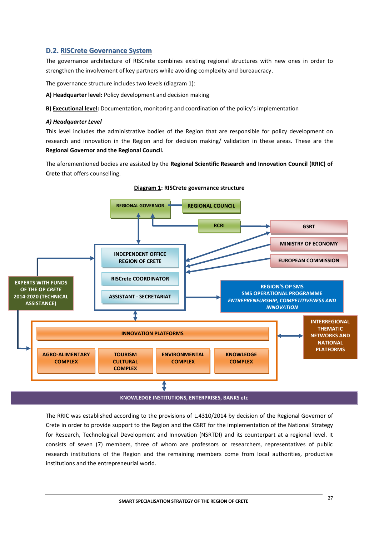## **D.2. RISCrete Governance System**

The governance architecture of RISCrete combines existing regional structures with new ones in order to strengthen the involvement of key partners while avoiding complexity and bureaucracy.

The governance structure includes two levels (diagram 1):

**Α) Headquarter level:** Policy development and decision making

**Β) Executional level:** Documentation, monitoring and coordination of the policy's implementation

#### *Α) Headquarter Level*

This level includes the administrative bodies of the Region that are responsible for policy development on research and innovation in the Region and for decision making/ validation in these areas. These are the **Regional Governor and the Regional Council.**

The aforementioned bodies are assisted by the **Regional Scientific Research and Innovation Council (RRIC) of Crete** that offers counselling.



**Diagram 1: RISCrete governance structure**

The RRIC was established according to the provisions of L.4310/2014 by decision of the Regional Governor of Crete in order to provide support to the Region and the GSRT for the implementation of the National Strategy for Research, Technological Development and Innovation (NSRTDI) and its counterpart at a regional level. It consists of seven (7) members, three of whom are professors or researchers, representatives of public research institutions of the Region and the remaining members come from local authorities, productive institutions and the entrepreneurial world.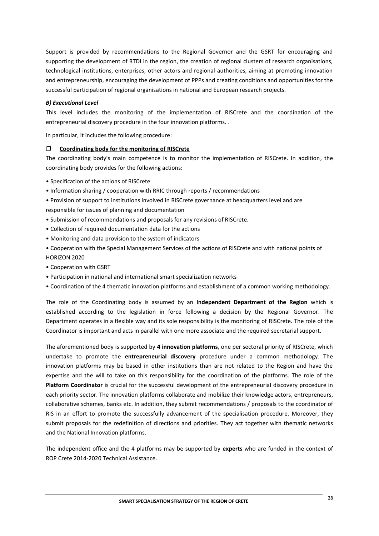Support is provided by recommendations to the Regional Governor and the GSRT for encouraging and supporting the development of RTDI in the region, the creation of regional clusters of research organisations, technological institutions, enterprises, other actors and regional authorities, aiming at promoting innovation and entrepreneurship, encouraging the development of PPPs and creating conditions and opportunities for the successful participation of regional organisations in national and European research projects.

#### *Β) Executional Level*

This level includes the monitoring of the implementation of RISCrete and the coordination of the entrepreneurial discovery procedure in the four innovation platforms. .

In particular, it includes the following procedure:

#### **Coordinating body for the monitoring of RISCrete**

The coordinating body's main competence is to monitor the implementation of RISCrete. In addition, the coordinating body provides for the following actions:

- Specification of the actions of RISCrete
- Information sharing / cooperation with RRIC through reports / recommendations
- Provision of support to institutions involved in RISCrete governance at headquarters level and are responsible for issues of planning and documentation
- Submission of recommendations and proposals for any revisions of RISCrete.
- Collection of required documentation data for the actions
- Monitoring and data provision to the system of indicators
- Cooperation with the Special Management Services of the actions of RISCrete and with national points of HORIZON 2020
- Cooperation with GSRT
- Participation in national and international smart specialization networks
- Coordination of the 4 thematic innovation platforms and establishment of a common working methodology.

The role of the Coordinating body is assumed by an **Independent Department of the Region** which is established according to the legislation in force following a decision by the Regional Governor. The Department operates in a flexible way and its sole responsibility is the monitoring of RISCrete. The role of the Coordinator is important and acts in parallel with one more associate and the required secretarial support.

The aforementioned body is supported by **4 innovation platforms**, one per sectoral priority of RISCrete, which undertake to promote the **entrepreneurial discovery** procedure under a common methodology. The innovation platforms may be based in other institutions than are not related to the Region and have the expertise and the will to take on this responsibility for the coordination of the platforms. The role of the **Platform Coordinator** is crucial for the successful development of the entrepreneurial discovery procedure in each priority sector. The innovation platforms collaborate and mobilize their knowledge actors, entrepreneurs, collaborative schemes, banks etc. In addition, they submit recommendations / proposals to the coordinator of RIS in an effort to promote the successfully advancement of the specialisation procedure. Moreover, they submit proposals for the redefinition of directions and priorities. They act together with thematic networks and the National Innovation platforms.

The independent office and the 4 platforms may be supported by **experts** who are funded in the context of ROP Crete 2014-2020 Technical Assistance.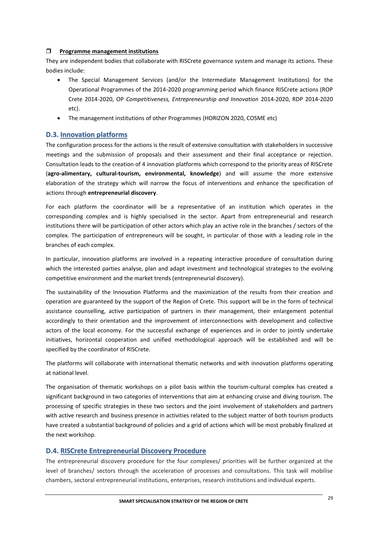#### **Programme management institutions**

They are independent bodies that collaborate with RISCrete governance system and manage its actions. These bodies include:

- The Special Management Services (and/or the Intermediate Management Institutions) for the Operational Programmes of the 2014-2020 programming period which finance RISCrete actions (ROP Crete 2014-2020, OP *Competitiveness, Entrepreneurship and Innovation* 2014-2020, RDP 2014-2020 etc).
- The management institutions of other Programmes (HORIZON 2020, COSME etc)

#### **D.3. Innovation platforms**

The configuration process for the actions is the result of extensive consultation with stakeholders in successive meetings and the submission of proposals and their assessment and their final acceptance or rejection. Consultation leads to the creation of 4 innovation platforms which correspond to the priority areas of RISCrete (**agro-alimentary, cultural-tourism, environmental, knowledge**) and will assume the more extensive elaboration of the strategy which will narrow the focus of interventions and enhance the specification of actions through **entrepreneurial discovery**.

For each platform the coordinator will be a representative of an institution which operates in the corresponding complex and is highly specialised in the sector. Apart from entrepreneurial and research institutions there will be participation of other actors which play an active role in the branches / sectors of the complex. The participation of entrepreneurs will be sought, in particular of those with a leading role in the branches of each complex.

In particular, innovation platforms are involved in a repeating interactive procedure of consultation during which the interested parties analyse, plan and adapt investment and technological strategies to the evolving competitive environment and the market trends (entrepreneurial discovery).

The sustainability of the Innovation Platforms and the maximization of the results from their creation and operation are guaranteed by the support of the Region of Crete. This support will be in the form of technical assistance counselling, active participation of partners in their management, their enlargement potential accordingly to their orientation and the improvement of interconnections with development and collective actors of the local economy. For the successful exchange of experiences and in order to jointly undertake initiatives, horizontal cooperation and unified methodological approach will be established and will be specified by the coordinator of RISCrete.

The platforms will collaborate with international thematic networks and with innovation platforms operating at national level.

The organisation of thematic workshops on a pilot basis within the tourism-cultural complex has created a significant background in two categories of interventions that aim at enhancing cruise and diving tourism. The processing of specific strategies in these two sectors and the joint involvement of stakeholders and partners with active research and business presence in activities related to the subject matter of both tourism products have created a substantial background of policies and a grid of actions which will be most probably finalized at the next workshop.

### **D.4. RISCrete Entrepreneurial Discovery Procedure**

The entrepreneurial discovery procedure for the four complexes/ priorities will be further organized at the level of branches/ sectors through the acceleration of processes and consultations. This task will mobilise chambers, sectoral entrepreneurial institutions, enterprises, research institutions and individual experts.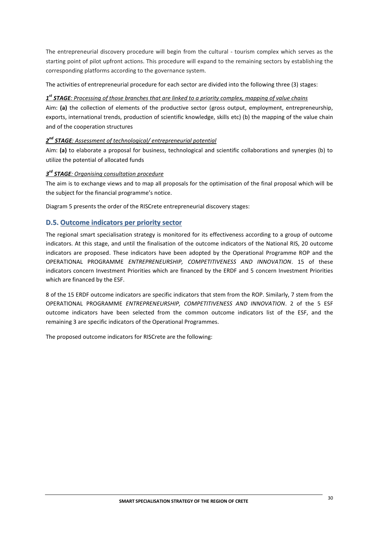The entrepreneurial discovery procedure will begin from the cultural - tourism complex which serves as the starting point of pilot upfront actions. This procedure will expand to the remaining sectors by establishing the corresponding platforms according to the governance system.

The activities of entrepreneurial procedure for each sector are divided into the following three (3) stages:

## *1 st STAGE: Processing of those branches that are linked to a priority complex, mapping of value chains*

Aim: **(a)** the collection of elements of the productive sector (gross output, employment, entrepreneurship, exports, international trends, production of scientific knowledge, skills etc) (b) the mapping of the value chain and of the cooperation structures

## *2 nd STAGE: Assessment of technological/ entrepreneurial potential*

Aim: **(a)** to elaborate a proposal for business, technological and scientific collaborations and synergies (b) to utilize the potential of allocated funds

## *3 rd STAGE: Organising consultation procedure*

The aim is to exchange views and to map all proposals for the optimisation of the final proposal which will be the subject for the financial programme's notice.

Diagram 5 presents the order of the RISCrete entrepreneurial discovery stages:

## **D.5. Outcome indicators per priority sector**

The regional smart specialisation strategy is monitored for its effectiveness according to a group of outcome indicators. At this stage, and until the finalisation of the outcome indicators of the National RIS, 20 outcome indicators are proposed. These indicators have been adopted by the Operational Programme ROP and the OPERATIONAL PROGRAMME *ENTREPRENEURSHIP, COMPETITIVENESS AND INNOVATION*. 15 of these indicators concern Investment Priorities which are financed by the ERDF and 5 concern Investment Priorities which are financed by the ESF.

8 of the 15 ERDF outcome indicators are specific indicators that stem from the ROP. Similarly, 7 stem from the OPERATIONAL PROGRAMME *ENTREPRENEURSHIP, COMPETITIVENESS AND INNOVATION*. 2 of the 5 ESF outcome indicators have been selected from the common outcome indicators list of the ESF, and the remaining 3 are specific indicators of the Operational Programmes.

The proposed outcome indicators for RISCrete are the following: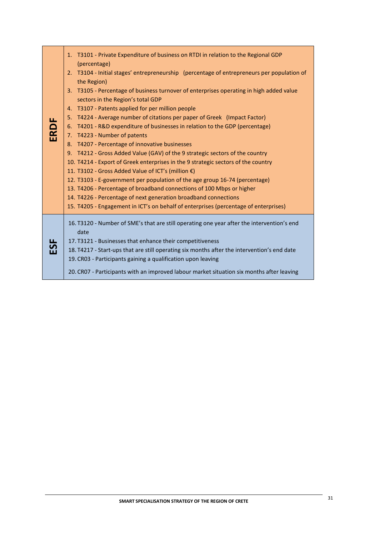|      | 1. T3101 - Private Expenditure of business on RTDI in relation to the Regional GDP<br>(percentage)                           |
|------|------------------------------------------------------------------------------------------------------------------------------|
|      | 2. T3104 - Initial stages' entrepreneurship (percentage of entrepreneurs per population of<br>the Region)                    |
|      | 3. T3105 - Percentage of business turnover of enterprises operating in high added value<br>sectors in the Region's total GDP |
|      | 4. T3107 - Patents applied for per million people                                                                            |
|      | 5. T4224 - Average number of citations per paper of Greek (Impact Factor)                                                    |
|      | 6. T4201 - R&D expenditure of businesses in relation to the GDP (percentage)                                                 |
| ERDF | 7. T4223 - Number of patents                                                                                                 |
|      | 8. T4207 - Percentage of innovative businesses                                                                               |
|      | 9. T4212 - Gross Added Value (GAV) of the 9 strategic sectors of the country                                                 |
|      | 10. T4214 - Export of Greek enterprises in the 9 strategic sectors of the country                                            |
|      | 11. T3102 - Gross Added Value of ICT's (million €)                                                                           |
|      | 12. T3103 - E-government per population of the age group 16-74 (percentage)                                                  |
|      | 13. T4206 - Percentage of broadband connections of 100 Mbps or higher                                                        |
|      | 14. T4226 - Percentage of next generation broadband connections                                                              |
|      | 15. T4205 - Engagement in ICT's on behalf of enterprises (percentage of enterprises)                                         |
|      | 16. T3120 - Number of SME's that are still operating one year after the intervention's end<br>date                           |
| ESE  | 17. T3121 - Businesses that enhance their competitiveness                                                                    |
|      | 18. T4217 - Start-ups that are still operating six months after the intervention's end date                                  |
|      | 19. CR03 - Participants gaining a qualification upon leaving                                                                 |
|      | 20. CR07 - Participants with an improved labour market situation six months after leaving                                    |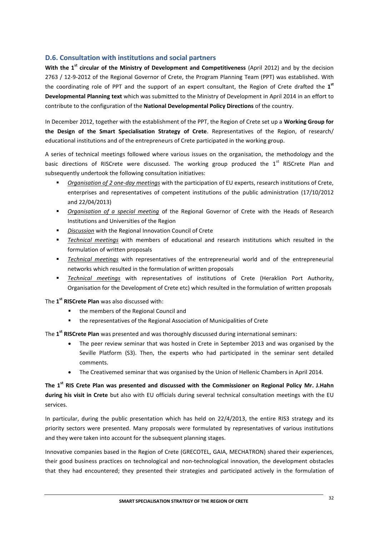## **D.6. Consultation with institutions and social partners**

**With the 1st circular of the Ministry of Development and Competitiveness** (April 2012) and by the decision 2763 / 12-9-2012 of the Regional Governor of Crete, the Program Planning Team (PPT) was established. With the coordinating role of PPT and the support of an expert consultant, the Region of Crete drafted the **1 st Developmental Planning text** which was submitted to the Ministry of Development in April 2014 in an effort to contribute to the configuration of the **National Developmental Policy Directions** of the country.

In December 2012, together with the establishment of the PPT, the Region of Crete set up a **Working Group for the Design of the Smart Specialisation Strategy of Crete**. Representatives of the Region, of research/ educational institutions and of the entrepreneurs of Crete participated in the working group.

A series of technical meetings followed where various issues on the organisation, the methodology and the basic directions of RISCrete were discussed. The working group produced the 1<sup>st</sup> RISCrete Plan and subsequently undertook the following consultation initiatives:

- *Organisation of 2 one-day meetings* with the participation of EU experts, research institutions of Crete, enterprises and representatives of competent institutions of the public administration (17/10/2012 and 22/04/2013)
- *Organisation of a special meeting* of the Regional Governor of Crete with the Heads of Research Institutions and Universities of the Region
- *Discussion* with the Regional Innovation Council of Crete
- *Technical meetings* with members of educational and research institutions which resulted in the formulation of written proposals
- *Technical meetings* with representatives of the entrepreneurial world and of the entrepreneurial networks which resulted in the formulation of written proposals
- *Technical meetings* with representatives of institutions of Crete (Heraklion Port Authority, Organisation for the Development of Crete etc) which resulted in the formulation of written proposals

The **1 st RISCrete Plan** was also discussed with:

- **the members of the Regional Council and**
- the representatives of the Regional Association of Municipalities of Crete

The **1 st RISCrete Plan** was presented and was thoroughly discussed during international seminars:

- The peer review seminar that was hosted in Crete in September 2013 and was organised by the Seville Platform (S3). Then, the experts who had participated in the seminar sent detailed comments.
- The Creativemed seminar that was organised by the Union of Hellenic Chambers in April 2014.

**The 1st RIS Crete Plan was presented and discussed with the Commissioner on Regional Policy Mr. J.Hahn during his visit in Crete** but also with EU officials during several technical consultation meetings with the EU services.

In particular, during the public presentation which has held on 22/4/2013, the entire RIS3 strategy and its priority sectors were presented. Many proposals were formulated by representatives of various institutions and they were taken into account for the subsequent planning stages.

Innovative companies based in the Region of Crete (GRECOTEL, GAIA, MECHATRON) shared their experiences, their good business practices on technological and non-technological innovation, the development obstacles that they had encountered; they presented their strategies and participated actively in the formulation of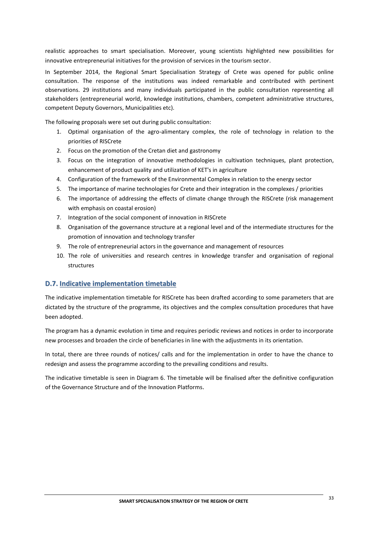realistic approaches to smart specialisation. Moreover, young scientists highlighted new possibilities for innovative entrepreneurial initiatives for the provision of services in the tourism sector.

In September 2014, the Regional Smart Specialisation Strategy of Crete was opened for public online consultation. The response of the institutions was indeed remarkable and contributed with pertinent observations. 29 institutions and many individuals participated in the public consultation representing all stakeholders (entrepreneurial world, knowledge institutions, chambers, competent administrative structures, competent Deputy Governors, Municipalities etc).

The following proposals were set out during public consultation:

- 1. Optimal organisation of the agro-alimentary complex, the role of technology in relation to the priorities of RISCrete
- 2. Focus on the promotion of the Cretan diet and gastronomy
- 3. Focus on the integration of innovative methodologies in cultivation techniques, plant protection, enhancement of product quality and utilization of KET's in agriculture
- 4. Configuration of the framework of the Environmental Complex in relation to the energy sector
- 5. The importance of marine technologies for Crete and their integration in the complexes / priorities
- 6. The importance of addressing the effects of climate change through the RISCrete (risk management with emphasis on coastal erosion)
- 7. Integration of the social component of innovation in RISCrete
- 8. Organisation of the governance structure at a regional level and of the intermediate structures for the promotion of innovation and technology transfer
- 9. The role of entrepreneurial actors in the governance and management of resources
- 10. The role of universities and research centres in knowledge transfer and organisation of regional structures

### **D.7. Indicative implementation timetable**

The indicative implementation timetable for RISCrete has been drafted according to some parameters that are dictated by the structure of the programme, its objectives and the complex consultation procedures that have been adopted.

The program has a dynamic evolution in time and requires periodic reviews and notices in order to incorporate new processes and broaden the circle of beneficiaries in line with the adjustments in its orientation.

In total, there are three rounds of notices/ calls and for the implementation in order to have the chance to redesign and assess the programme according to the prevailing conditions and results.

The indicative timetable is seen in Diagram 6. The timetable will be finalised after the definitive configuration of the Governance Structure and of the Innovation Platforms.